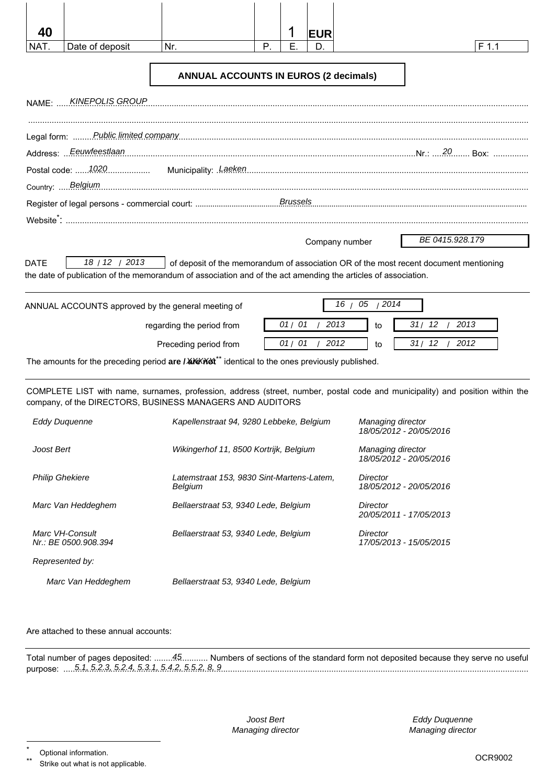| 40          |                         |                                                                                                                                                                                                        |    |       | <b>EUR</b>     |                |       |                 |
|-------------|-------------------------|--------------------------------------------------------------------------------------------------------------------------------------------------------------------------------------------------------|----|-------|----------------|----------------|-------|-----------------|
| NAT.        | Date of deposit         | Nr.                                                                                                                                                                                                    | P. | E     | D.             |                |       | $F$ 1.1         |
|             |                         | <b>ANNUAL ACCOUNTS IN EUROS (2 decimals)</b>                                                                                                                                                           |    |       |                |                |       |                 |
|             | NAME: KINEPOLIS GROUP   |                                                                                                                                                                                                        |    |       |                |                |       |                 |
|             |                         |                                                                                                                                                                                                        |    |       |                |                |       |                 |
|             | Address:  Eeuwfeestlaan |                                                                                                                                                                                                        |    |       |                |                |       |                 |
|             |                         |                                                                                                                                                                                                        |    |       |                |                |       |                 |
|             | Country:  Belgium       |                                                                                                                                                                                                        |    |       |                |                |       |                 |
|             |                         |                                                                                                                                                                                                        |    |       |                |                |       |                 |
|             |                         |                                                                                                                                                                                                        |    |       |                |                |       |                 |
|             |                         |                                                                                                                                                                                                        |    |       |                | Company number |       | BE 0415.928.179 |
|             |                         |                                                                                                                                                                                                        |    |       |                |                |       |                 |
|             | 18 / 12 / 2013          | of deposit of the memorandum of association OR of the most recent document mentioning<br>the date of publication of the memorandum of association and of the act amending the articles of association. |    |       |                |                |       |                 |
|             |                         | ANNUAL ACCOUNTS approved by the general meeting of                                                                                                                                                     |    |       |                | 16 / 05 / 2014 |       |                 |
| <b>DATE</b> |                         | regarding the period from                                                                                                                                                                              |    | 01/01 | /2013          | to             | 31/12 | 2013            |
|             |                         | Preceding period from                                                                                                                                                                                  |    |       | 01 / 01 / 2012 | to             | 31/12 | 2012            |

| <b>Eddy Duquenne</b>                    | Kapellenstraat 94, 9280 Lebbeke, Belgium                    | Managing director<br>18/05/2012 - 20/05/2016 |
|-----------------------------------------|-------------------------------------------------------------|----------------------------------------------|
| Joost Bert                              | Wikingerhof 11, 8500 Kortrijk, Belgium                      | Managing director<br>18/05/2012 - 20/05/2016 |
| <b>Philip Ghekiere</b>                  | Latemstraat 153, 9830 Sint-Martens-Latem,<br><b>Belgium</b> | Director<br>18/05/2012 - 20/05/2016          |
| Marc Van Heddeghem                      | Bellaerstraat 53, 9340 Lede, Belgium                        | Director<br>20/05/2011 - 17/05/2013          |
| Marc VH-Consult<br>Nr.: BE 0500.908.394 | Bellaerstraat 53, 9340 Lede, Belgium                        | Director<br>17/05/2013 - 15/05/2015          |
| Represented by:                         |                                                             |                                              |
| Marc Van Heddeghem                      | Bellaerstraat 53, 9340 Lede, Belgium                        |                                              |

#### Are attached to these annual accounts:

|                                                        | Total number of pages deposited: 45 Numbers of sections of the standard form not deposited because they serve no useful |
|--------------------------------------------------------|-------------------------------------------------------------------------------------------------------------------------|
| purpose:  5.1, 5.2.3, 5.2.4, 5.3.1, 5.4.2, 5.5.2, 8, 9 |                                                                                                                         |

Joost Bert Managing director

Eddy Duquenne Managing director

Strike out what is not applicable.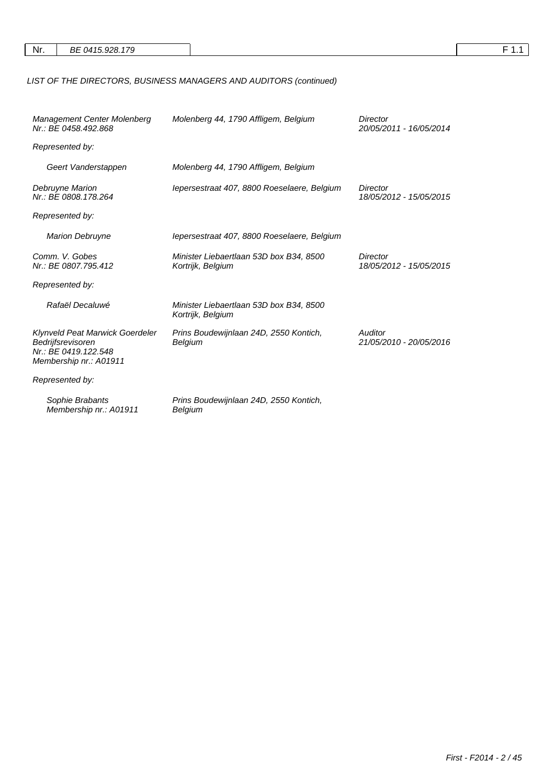|--|--|--|--|--|

# LIST OF THE DIRECTORS, BUSINESS MANAGERS AND AUDITORS (continued)

| Management Center Molenberg<br>Molenberg 44, 1790 Affligem, Belgium<br>Nr.: BE 0458.492.868            |                                                              | Director<br>20/05/2011 - 16/05/2014 |
|--------------------------------------------------------------------------------------------------------|--------------------------------------------------------------|-------------------------------------|
| Represented by:                                                                                        |                                                              |                                     |
| Geert Vanderstappen                                                                                    | Molenberg 44, 1790 Affligem, Belgium                         |                                     |
| Debruyne Marion<br>Nr.: BE 0808.178.264                                                                | lepersestraat 407, 8800 Roeselaere, Belgium                  | Director<br>18/05/2012 - 15/05/2015 |
| Represented by:                                                                                        |                                                              |                                     |
| <b>Marion Debruyne</b>                                                                                 | lepersestraat 407, 8800 Roeselaere, Belgium                  |                                     |
| Comm. V. Gobes<br>Nr.: BE 0807.795.412                                                                 | Minister Liebaertlaan 53D box B34, 8500<br>Kortrijk, Belgium | Director<br>18/05/2012 - 15/05/2015 |
| Represented by:                                                                                        |                                                              |                                     |
| Rafaël Decaluwé                                                                                        | Minister Liebaertlaan 53D box B34, 8500<br>Kortrijk, Belgium |                                     |
| Klynveld Peat Marwick Goerdeler<br>Bedrijfsrevisoren<br>Nr.: BE 0419.122.548<br>Membership nr.: A01911 | Prins Boudewijnlaan 24D, 2550 Kontich,<br>Belgium            | Auditor<br>21/05/2010 - 20/05/2016  |
| Represented by:                                                                                        |                                                              |                                     |
| Sophie Brabants<br>Membership nr.: A01911                                                              | Prins Boudewijnlaan 24D, 2550 Kontich,<br>Belgium            |                                     |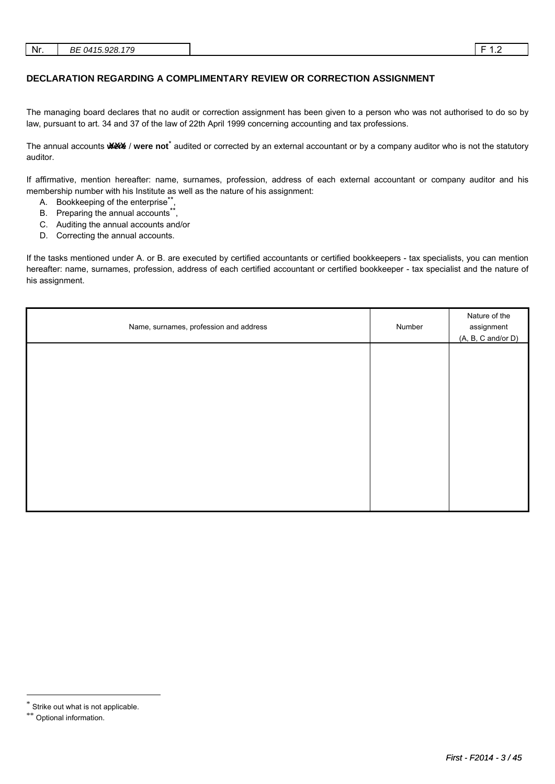#### **DECLARATION REGARDING A COMPLIMENTARY REVIEW OR CORRECTION ASSIGNMENT**

The managing board declares that no audit or correction assignment has been given to a person who was not authorised to do so by law, pursuant to art. 34 and 37 of the law of 22th April 1999 concerning accounting and tax professions.

The annual accounts **ware** / were not<sup>\*</sup> audited or corrected by an external accountant or by a company auditor who is not the statutory auditor.

If affirmative, mention hereafter: name, surnames, profession, address of each external accountant or company auditor and his membership number with his Institute as well as the nature of his assignment:

- A. Bookkeeping of the enterprise\*\*
- B. Preparing the annual accounts\*\*,
- C. Auditing the annual accounts and/or
- D. Correcting the annual accounts.

If the tasks mentioned under A. or B. are executed by certified accountants or certified bookkeepers - tax specialists, you can mention hereafter: name, surnames, profession, address of each certified accountant or certified bookkeeper - tax specialist and the nature of his assignment.

| Name, surnames, profession and address | Number | Nature of the<br>assignment<br>$(A, B, C \text{ and/or } D)$ |
|----------------------------------------|--------|--------------------------------------------------------------|
|                                        |        |                                                              |
|                                        |        |                                                              |
|                                        |        |                                                              |
|                                        |        |                                                              |
|                                        |        |                                                              |
|                                        |        |                                                              |

l

<sup>\*</sup> Strike out what is not applicable.

<sup>\*\*</sup> Optional information.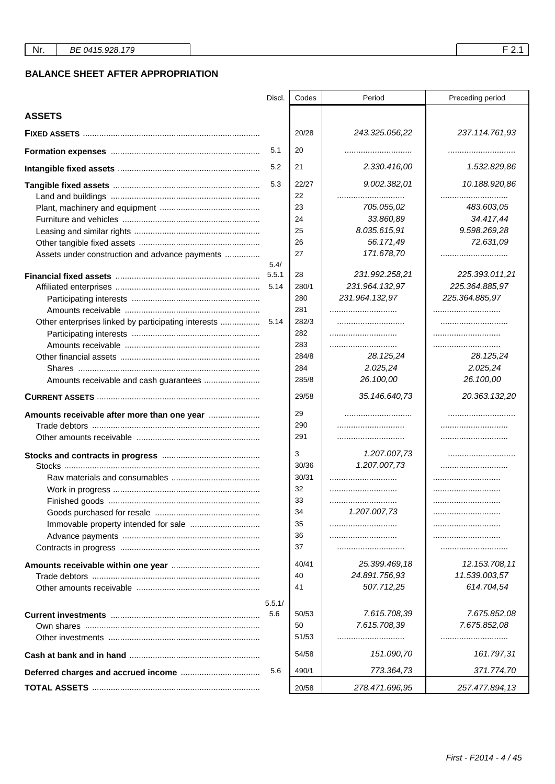### **BALANCE SHEET AFTER APPROPRIATION**

|                                                     | Discl. | Codes       | Period         | Preceding period        |
|-----------------------------------------------------|--------|-------------|----------------|-------------------------|
| <b>ASSETS</b>                                       |        |             |                |                         |
|                                                     |        | 20/28       | 243.325.056,22 | 237.114.761,93          |
|                                                     | 5.1    | 20          |                |                         |
|                                                     | 5.2    | 21          | 2.330.416,00   | 1.532.829,86            |
|                                                     | 5.3    | 22/27<br>22 | 9.002.382,01   | 10.188.920.86           |
|                                                     |        |             | 705.055,02     |                         |
|                                                     |        | 23<br>24    | 33.860,89      | 483.603,05<br>34.417,44 |
|                                                     |        | 25          | 8.035.615,91   | 9.598.269,28            |
|                                                     |        |             | 56.171,49      | 72.631,09               |
|                                                     |        | 26          |                |                         |
| Assets under construction and advance payments      | 5.4/   | 27          | 171.678,70     |                         |
|                                                     | 5.5.1  | 28          | 231.992.258,21 | 225.393.011,21          |
|                                                     | 5.14   | 280/1       | 231.964.132,97 | 225.364.885,97          |
|                                                     |        | 280         | 231.964.132,97 | 225.364.885,97          |
|                                                     |        | 281         |                |                         |
| Other enterprises linked by participating interests | 5.14   | 282/3       |                |                         |
|                                                     |        | 282         |                |                         |
|                                                     |        | 283         |                |                         |
|                                                     |        | 284/8       | 28.125,24      | 28.125,24               |
|                                                     |        | 284         | 2.025,24       | 2.025,24                |
|                                                     |        | 285/8       | 26.100,00      | 26.100,00               |
|                                                     |        | 29/58       | 35.146.640,73  | 20.363.132,20           |
| Amounts receivable after more than one year         |        | 29          |                |                         |
|                                                     |        | 290         |                |                         |
|                                                     |        | 291         |                |                         |
|                                                     |        | 3           | 1.207.007,73   |                         |
|                                                     |        | 30/36       | 1.207.007,73   |                         |
|                                                     |        | 30/31       |                |                         |
|                                                     |        | 32          |                |                         |
|                                                     |        | 33          |                |                         |
|                                                     |        | 34          | 1.207.007,73   |                         |
|                                                     |        | 35          |                |                         |
|                                                     |        | 36          |                |                         |
|                                                     |        | 37          |                |                         |
|                                                     |        | 40/41       | 25.399.469,18  | 12.153.708,11           |
|                                                     |        | 40          | 24.891.756,93  | 11.539.003,57           |
|                                                     |        | 41          | 507.712,25     | 614.704,54              |
|                                                     | 5.5.1/ |             |                |                         |
|                                                     | 5.6    | 50/53       | 7.615.708,39   | 7.675.852,08            |
|                                                     |        | 50          | 7.615.708,39   | 7.675.852,08            |
|                                                     |        | 51/53       |                |                         |
|                                                     |        | 54/58       | 151.090,70     | 161.797,31              |
|                                                     | 5.6    | 490/1       | 773.364,73     | 371.774,70              |
|                                                     |        | 20/58       | 278.471.696,95 | 257.477.894,13          |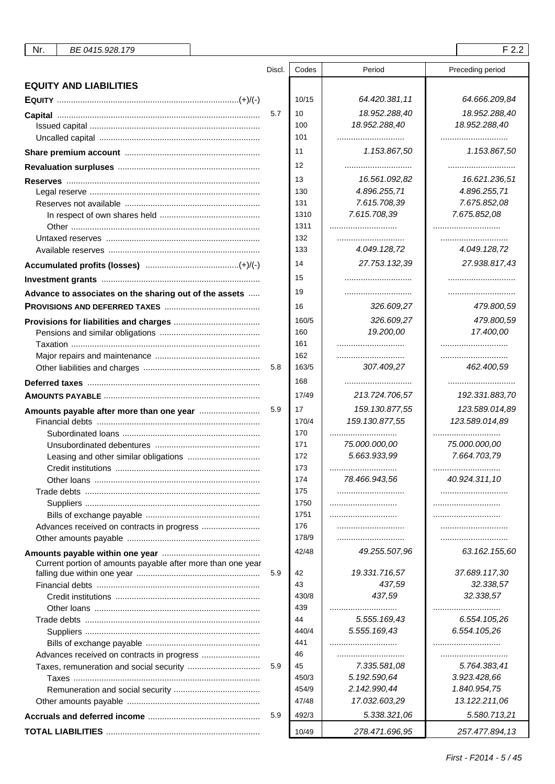| <b>EQUITY AND LIABILITIES</b>                               |     |            |                   |                   |
|-------------------------------------------------------------|-----|------------|-------------------|-------------------|
|                                                             |     | 10/15      | 64.420.381,11     | 64.666.209,84     |
|                                                             | 5.7 | 10         | 18.952.288,40     | 18.952.288,40     |
|                                                             |     | 100        | 18.952.288,40     | 18.952.288,40     |
|                                                             |     | 101        |                   |                   |
|                                                             |     | 11         | 1.153.867,50      | 1.153.867,50      |
|                                                             |     | 12         |                   |                   |
|                                                             |     | 13         | 16.561.092,82     | 16.621.236,51     |
|                                                             |     | 130        | 4.896.255,71      | 4.896.255,71      |
|                                                             |     | 131        | 7.615.708,39      | 7.675.852,08      |
|                                                             |     | 1310       | 7.615.708,39      | 7.675.852,08      |
|                                                             |     | 1311       |                   |                   |
|                                                             |     | 132        |                   |                   |
|                                                             |     | 133        | 4.049.128,72      | 4.049.128,72      |
|                                                             |     | 14         | 27.753.132,39     | 27.938.817,43     |
|                                                             |     | 15         |                   |                   |
| Advance to associates on the sharing out of the assets      |     | 19         |                   |                   |
|                                                             |     | 16         | 326.609,27        | 479.800,59        |
|                                                             |     | 160/5      | 326.609,27        | 479.800,59        |
|                                                             |     | 160        | 19.200,00         | 17.400,00         |
|                                                             |     | 161        |                   |                   |
|                                                             |     | 162        |                   |                   |
|                                                             | 5.8 | 163/5      | 307.409,27        | 462.400,59        |
|                                                             |     | 168        |                   |                   |
|                                                             |     |            |                   |                   |
|                                                             |     | 17/49      | 213.724.706,57    | 192.331.883,70    |
|                                                             | 5.9 | 17         | 159.130.877,55    | 123.589.014,89    |
|                                                             |     | 170/4      | 159.130.877,55    | 123.589.014,89    |
|                                                             |     | 170        |                   |                   |
|                                                             |     | 171        | 75.000.000,00     | 75.000.000,00     |
|                                                             |     | 172        | 5.663.933,99      | 7.664.703,79      |
|                                                             |     | 173        | <br>78.466.943,56 | <br>40.924.311,10 |
|                                                             |     | 174<br>175 |                   |                   |
|                                                             |     | 1750       |                   |                   |
|                                                             |     | 1751       |                   |                   |
|                                                             |     | 176        |                   |                   |
|                                                             |     | 178/9      |                   |                   |
|                                                             |     | 42/48      | 49.255.507,96     | 63.162.155,60     |
| Current portion of amounts payable after more than one year |     |            |                   |                   |
|                                                             | 5.9 | 42         | 19.331.716,57     | 37.689.117,30     |
|                                                             |     | 43         | 437,59            | 32.338,57         |
|                                                             |     | 430/8      | 437,59            | 32.338,57         |
|                                                             |     | 439        |                   |                   |
|                                                             |     | 44         | 5.555.169,43      | 6.554.105,26      |
|                                                             |     | 440/4      | 5.555.169,43      | 6.554.105,26      |
|                                                             |     | 441        |                   |                   |
|                                                             |     | 46         |                   |                   |
| Taxes, remuneration and social security                     | 5.9 | 45         | 7.335.581,08      | 5.764.383,41      |
|                                                             |     | 450/3      | 5.192.590,64      | 3.923.428,66      |
|                                                             |     | 454/9      | 2.142.990,44      | 1.840.954,75      |
|                                                             |     | 47/48      | 17.032.603,29     | 13.122.211,06     |
|                                                             | 5.9 | 492/3      | 5.338.321,06      | 5.580.713,21      |
|                                                             |     | 10/49      | 278.471.696,95    | 257.477.894,13    |

Discl. Codes Period Preceding period

First - F2014 - 5 / 45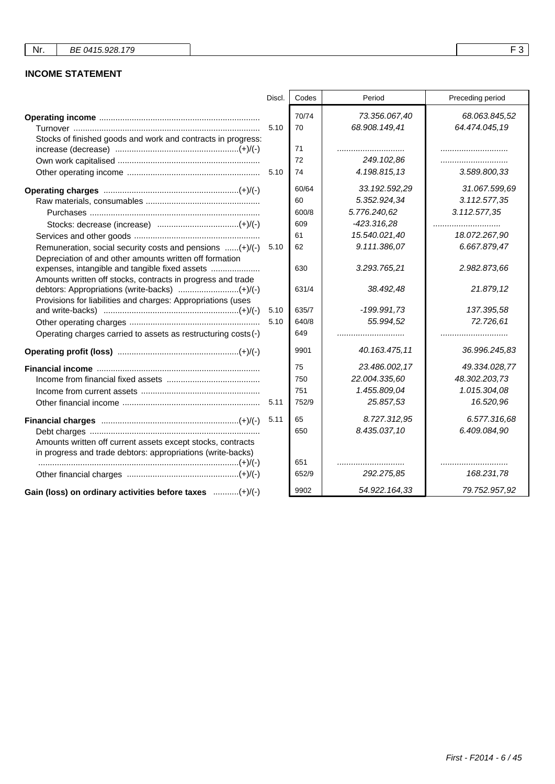## **INCOME STATEMENT**

|                                                                                                                            | Discl. | Codes | Period        | Preceding period |
|----------------------------------------------------------------------------------------------------------------------------|--------|-------|---------------|------------------|
|                                                                                                                            |        | 70/74 | 73.356.067,40 | 68.063.845,52    |
|                                                                                                                            | 5.10   | 70    | 68.908.149,41 | 64.474.045,19    |
| Stocks of finished goods and work and contracts in progress:                                                               |        |       |               |                  |
|                                                                                                                            |        | 71    |               |                  |
|                                                                                                                            |        | 72    | 249.102,86    |                  |
|                                                                                                                            |        | 74    | 4.198.815,13  | 3.589.800,33     |
|                                                                                                                            |        | 60/64 | 33.192.592,29 | 31.067.599,69    |
|                                                                                                                            |        | 60    | 5.352.924,34  | 3.112.577,35     |
|                                                                                                                            |        | 600/8 | 5.776.240,62  | 3.112.577,35     |
|                                                                                                                            |        | 609   | $-423.316,28$ |                  |
|                                                                                                                            |        | 61    | 15.540.021,40 | 18.072.267,90    |
| Remuneration, social security costs and pensions (+)/(-)<br>Depreciation of and other amounts written off formation        | 5.10   | 62    | 9.111.386,07  | 6.667.879,47     |
| expenses, intangible and tangible fixed assets<br>Amounts written off stocks, contracts in progress and trade              |        | 630   | 3.293.765,21  | 2.982.873,66     |
| debtors: Appropriations (write-backs) (+)/(-)<br>Provisions for liabilities and charges: Appropriations (uses              |        | 631/4 | 38.492,48     | 21.879,12        |
|                                                                                                                            | 5.10   | 635/7 | $-199.991.73$ | 137.395,58       |
|                                                                                                                            | 5.10   | 640/8 | 55.994,52     | 72.726,61        |
| Operating charges carried to assets as restructuring costs (-)                                                             |        | 649   |               |                  |
|                                                                                                                            |        | 9901  | 40.163.475.11 | 36.996.245,83    |
|                                                                                                                            |        | 75    | 23.486.002,17 | 49.334.028,77    |
|                                                                                                                            |        | 750   | 22.004.335,60 | 48.302.203,73    |
|                                                                                                                            |        | 751   | 1.455.809,04  | 1.015.304,08     |
|                                                                                                                            |        | 752/9 | 25.857,53     | 16.520,96        |
|                                                                                                                            | 5.11   | 65    | 8.727.312,95  | 6.577.316,68     |
|                                                                                                                            |        | 650   | 8.435.037,10  | 6.409.084,90     |
| Amounts written off current assets except stocks, contracts<br>in progress and trade debtors: appropriations (write-backs) |        |       |               |                  |
|                                                                                                                            |        | 651   |               |                  |
|                                                                                                                            |        | 652/9 | 292.275,85    | 168.231,78       |
| Gain (loss) on ordinary activities before taxes (+)/(-)                                                                    |        | 9902  | 54.922.164,33 | 79.752.957,92    |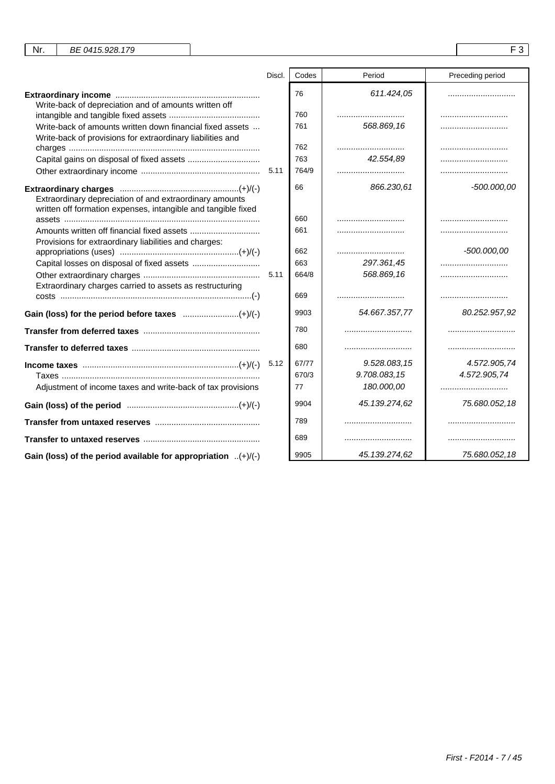|                                                                                                                          | Discl. | Codes | Period        | Preceding period |
|--------------------------------------------------------------------------------------------------------------------------|--------|-------|---------------|------------------|
| Write-back of depreciation and of amounts written off                                                                    |        | 76    | 611.424,05    |                  |
|                                                                                                                          |        | 760   |               |                  |
| Write-back of amounts written down financial fixed assets                                                                |        | 761   | 568.869.16    |                  |
| Write-back of provisions for extraordinary liabilities and                                                               |        |       |               |                  |
|                                                                                                                          |        | 762   |               |                  |
|                                                                                                                          |        | 763   | 42.554.89     |                  |
|                                                                                                                          |        | 764/9 |               |                  |
| Extraordinary depreciation of and extraordinary amounts<br>written off formation expenses, intangible and tangible fixed |        | 66    | 866.230.61    | $-500.000.00$    |
|                                                                                                                          |        | 660   |               |                  |
| Provisions for extraordinary liabilities and charges:                                                                    |        | 661   |               |                  |
|                                                                                                                          |        | 662   |               | $-500.000,00$    |
|                                                                                                                          |        | 663   | 297.361,45    |                  |
|                                                                                                                          |        | 664/8 | 568.869,16    |                  |
| Extraordinary charges carried to assets as restructuring                                                                 |        | 669   |               |                  |
|                                                                                                                          |        | 9903  | 54.667.357,77 | 80.252.957,92    |
|                                                                                                                          |        | 780   |               |                  |
|                                                                                                                          |        | 680   |               |                  |
|                                                                                                                          | 5.12   | 67/77 | 9.528.083,15  | 4.572.905,74     |
|                                                                                                                          |        | 670/3 | 9.708.083,15  | 4.572.905,74     |
| Adjustment of income taxes and write-back of tax provisions                                                              |        | 77    | 180.000,00    |                  |
|                                                                                                                          |        | 9904  | 45.139.274,62 | 75.680.052,18    |
|                                                                                                                          |        | 789   |               |                  |
|                                                                                                                          |        | 689   |               |                  |
| Gain (loss) of the period available for appropriation $(+)/(-)$                                                          |        | 9905  | 45.139.274,62 | 75.680.052,18    |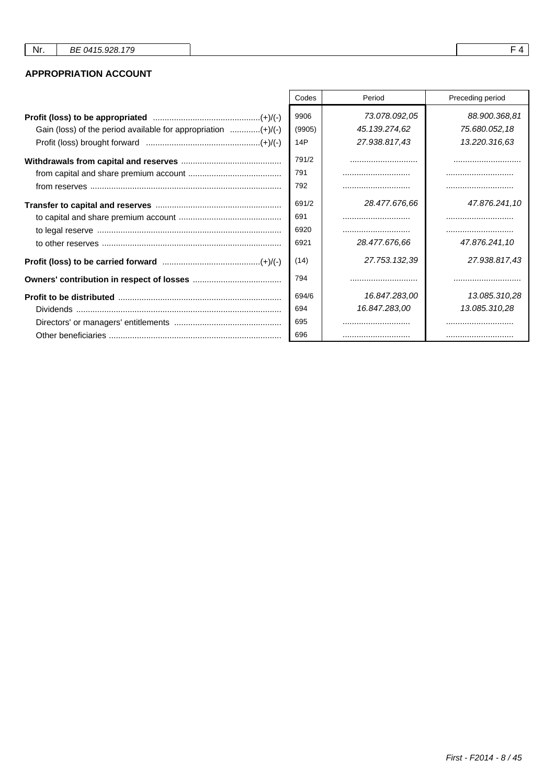### **APPROPRIATION ACCOUNT**

|                                                               | Codes  | Period        | Preceding period |
|---------------------------------------------------------------|--------|---------------|------------------|
|                                                               | 9906   | 73.078.092,05 | 88.900.368,81    |
| Gain (loss) of the period available for appropriation (+)/(-) | (9905) | 45.139.274,62 | 75.680.052,18    |
|                                                               | 14P    | 27.938.817,43 | 13.220.316.63    |
|                                                               | 791/2  |               |                  |
|                                                               | 791    |               |                  |
|                                                               | 792    |               |                  |
|                                                               | 691/2  | 28.477.676,66 | 47.876.241,10    |
|                                                               | 691    |               |                  |
|                                                               | 6920   |               |                  |
|                                                               | 6921   | 28.477.676.66 | 47.876.241,10    |
|                                                               | (14)   | 27.753.132,39 | 27.938.817,43    |
|                                                               | 794    |               |                  |
|                                                               | 694/6  | 16.847.283,00 | 13.085.310,28    |
|                                                               | 694    | 16.847.283,00 | 13.085.310,28    |
|                                                               | 695    |               |                  |
|                                                               | 696    |               |                  |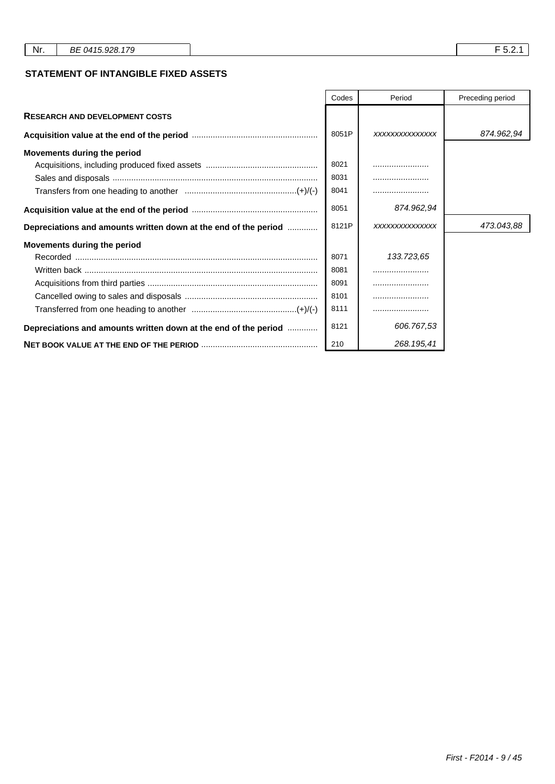### **STATEMENT OF INTANGIBLE FIXED ASSETS**

|                                                                 | Codes | Period         | Preceding period |
|-----------------------------------------------------------------|-------|----------------|------------------|
| <b>RESEARCH AND DEVELOPMENT COSTS</b>                           |       |                |                  |
|                                                                 | 8051P | XXXXXXXXXXXXXX | 874.962,94       |
| Movements during the period                                     |       |                |                  |
|                                                                 | 8021  |                |                  |
|                                                                 | 8031  |                |                  |
|                                                                 | 8041  |                |                  |
|                                                                 | 8051  | 874.962,94     |                  |
| Depreciations and amounts written down at the end of the period | 8121P | XXXXXXXXXXXXXX | 473.043,88       |
| Movements during the period                                     |       |                |                  |
|                                                                 | 8071  | 133.723,65     |                  |
|                                                                 | 8081  |                |                  |
|                                                                 | 8091  |                |                  |
|                                                                 | 8101  |                |                  |
|                                                                 | 8111  |                |                  |
| Depreciations and amounts written down at the end of the period | 8121  | 606.767,53     |                  |
|                                                                 | 210   | 268.195,41     |                  |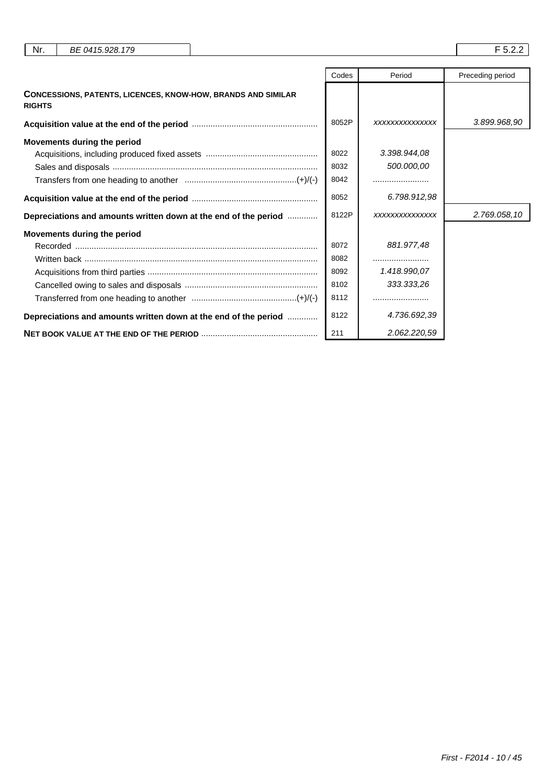| Nr.<br>BE 0415.928.179                                                               |                                      |                                          | F 5.2.2          |
|--------------------------------------------------------------------------------------|--------------------------------------|------------------------------------------|------------------|
|                                                                                      | Codes                                | Period                                   | Preceding period |
| <b>CONCESSIONS, PATENTS, LICENCES, KNOW-HOW, BRANDS AND SIMILAR</b><br><b>RIGHTS</b> |                                      |                                          |                  |
|                                                                                      | 8052P                                | XXXXXXXXXXXXXX                           | 3.899.968,90     |
| Movements during the period                                                          | 8022<br>8032<br>8042                 | 3.398.944,08<br>500.000,00<br>.          |                  |
|                                                                                      | 8052                                 | 6.798.912,98                             |                  |
| Depreciations and amounts written down at the end of the period                      | 8122P                                | XXXXXXXXXXXXXX                           | 2.769.058,10     |
| Movements during the period                                                          | 8072<br>8082<br>8092<br>8102<br>8112 | 881.977,48<br>1.418.990,07<br>333.333,26 |                  |
| Depreciations and amounts written down at the end of the period                      | 8122                                 | 4.736.692,39                             |                  |
|                                                                                      | 211                                  | 2.062.220,59                             |                  |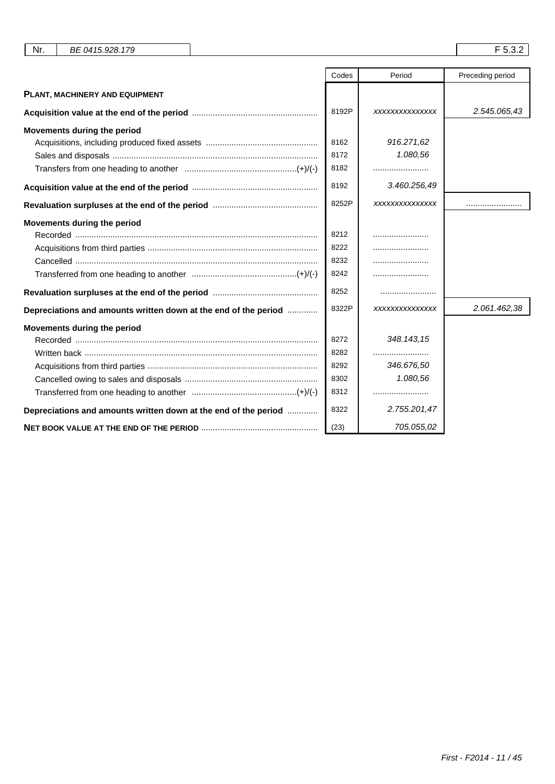| Nr.<br>BE 0415.928.179                                          |       |                 | F 5.3.2          |
|-----------------------------------------------------------------|-------|-----------------|------------------|
|                                                                 |       |                 |                  |
|                                                                 | Codes | Period          | Preceding period |
| PLANT, MACHINERY AND EQUIPMENT                                  |       |                 |                  |
|                                                                 | 8192P | XXXXXXXXXXXXXX  | 2.545.065,43     |
| Movements during the period                                     |       |                 |                  |
|                                                                 | 8162  | 916.271,62      |                  |
|                                                                 | 8172  | 1.080,56        |                  |
|                                                                 | 8182  |                 |                  |
|                                                                 | 8192  | 3.460.256,49    |                  |
|                                                                 | 8252P | XXXXXXXXXXXXXX  |                  |
| Movements during the period                                     |       |                 |                  |
|                                                                 | 8212  |                 |                  |
|                                                                 | 8222  |                 |                  |
|                                                                 | 8232  |                 |                  |
|                                                                 | 8242  |                 |                  |
|                                                                 | 8252  |                 |                  |
| Depreciations and amounts written down at the end of the period | 8322P | XXXXXXXXXXXXXXX | 2.061.462,38     |
| Movements during the period                                     |       |                 |                  |
|                                                                 | 8272  | 348.143.15      |                  |
| Written back ……………………………………………………………………………………                   | 8282  |                 |                  |
|                                                                 | 8292  | 346.676,50      |                  |
|                                                                 | 8302  | 1.080,56        |                  |
|                                                                 | 8312  |                 |                  |
| Depreciations and amounts written down at the end of the period | 8322  | 2.755.201,47    |                  |
|                                                                 | (23)  | 705.055,02      |                  |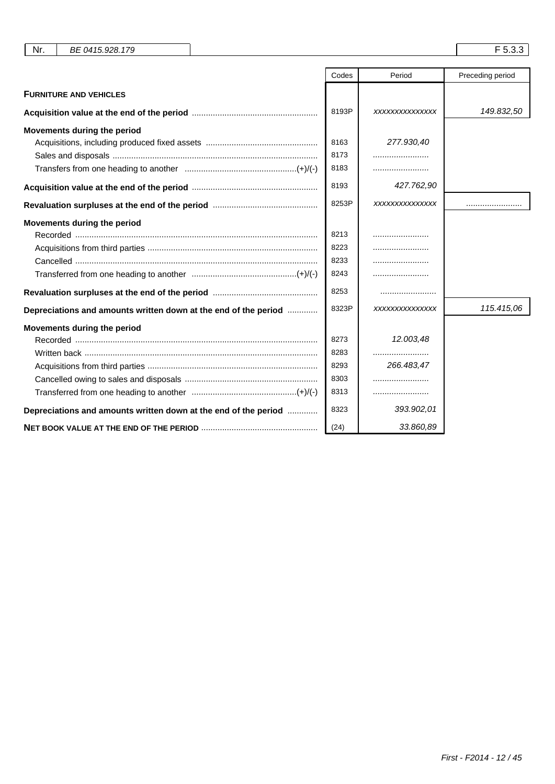| Nr.<br>BE 0415.928.179                                          |       |                | F 5.3.3          |
|-----------------------------------------------------------------|-------|----------------|------------------|
|                                                                 |       |                |                  |
|                                                                 | Codes | Period         | Preceding period |
| <b>FURNITURE AND VEHICLES</b>                                   |       |                |                  |
|                                                                 | 8193P | XXXXXXXXXXXXXX | 149.832,50       |
| Movements during the period                                     |       |                |                  |
|                                                                 | 8163  | 277.930,40     |                  |
|                                                                 | 8173  |                |                  |
|                                                                 | 8183  |                |                  |
|                                                                 | 8193  | 427.762,90     |                  |
|                                                                 | 8253P | XXXXXXXXXXXXXX |                  |
| Movements during the period                                     |       |                |                  |
|                                                                 | 8213  |                |                  |
|                                                                 | 8223  |                |                  |
|                                                                 | 8233  |                |                  |
|                                                                 | 8243  |                |                  |
|                                                                 | 8253  |                |                  |
| Depreciations and amounts written down at the end of the period | 8323P | XXXXXXXXXXXXXX | 115.415,06       |
| Movements during the period                                     |       |                |                  |
|                                                                 | 8273  | 12.003,48      |                  |
|                                                                 | 8283  |                |                  |
|                                                                 | 8293  | 266.483,47     |                  |
|                                                                 | 8303  |                |                  |
|                                                                 | 8313  |                |                  |
| Depreciations and amounts written down at the end of the period | 8323  | 393.902,01     |                  |
|                                                                 | (24)  | 33.860,89      |                  |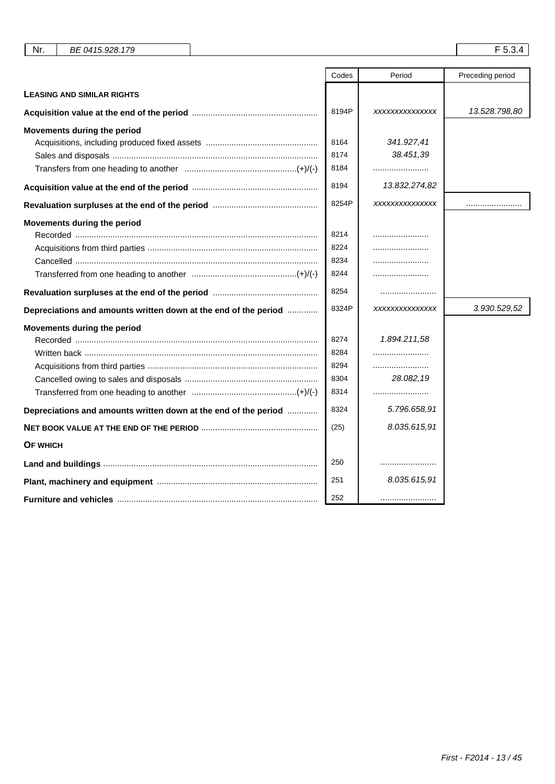|                                                                 | Codes | Period         | Preceding period |
|-----------------------------------------------------------------|-------|----------------|------------------|
| <b>LEASING AND SIMILAR RIGHTS</b>                               |       |                |                  |
|                                                                 | 8194P | XXXXXXXXXXXXXX | 13.528.798,80    |
| Movements during the period                                     |       |                |                  |
|                                                                 | 8164  | 341.927,41     |                  |
|                                                                 | 8174  | 38.451,39      |                  |
|                                                                 | 8184  |                |                  |
|                                                                 | 8194  | 13.832.274,82  |                  |
|                                                                 | 8254P | XXXXXXXXXXXXXX |                  |
| Movements during the period                                     |       |                |                  |
|                                                                 | 8214  |                |                  |
|                                                                 | 8224  |                |                  |
|                                                                 | 8234  |                |                  |
|                                                                 | 8244  |                |                  |
|                                                                 | 8254  |                |                  |
| Depreciations and amounts written down at the end of the period | 8324P | XXXXXXXXXXXXXX | 3.930.529,52     |
| Movements during the period                                     |       |                |                  |
|                                                                 | 8274  | 1.894.211,58   |                  |
| Written back ……………………………………………………………………………………                   | 8284  |                |                  |
|                                                                 | 8294  |                |                  |
|                                                                 | 8304  | 28.082,19      |                  |
|                                                                 | 8314  |                |                  |
| Depreciations and amounts written down at the end of the period | 8324  | 5.796.658,91   |                  |
|                                                                 | (25)  | 8.035.615,91   |                  |
| OF WHICH                                                        |       |                |                  |
|                                                                 | 250   |                |                  |
|                                                                 | 251   | 8.035.615,91   |                  |
|                                                                 | 252   |                |                  |

Nr. BE 0415.928.179 F 5.3.4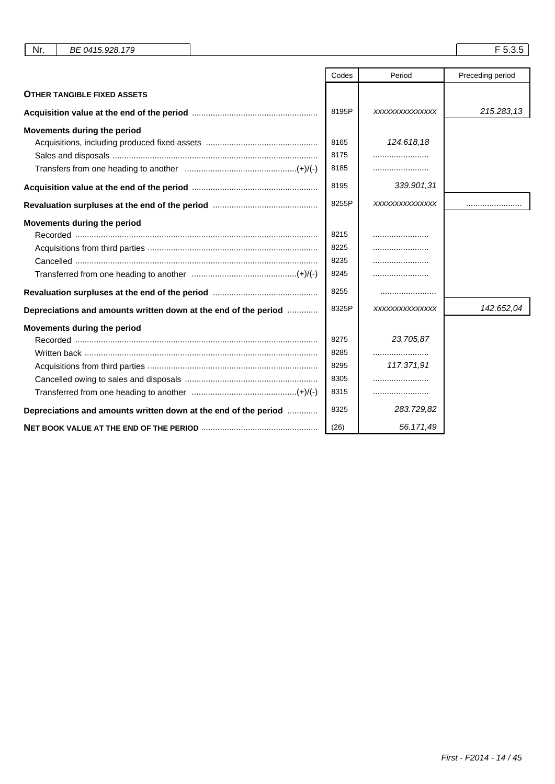| Nr.<br>BE 0415.928.179                                          |       |                | F 5.3.5          |
|-----------------------------------------------------------------|-------|----------------|------------------|
|                                                                 |       |                |                  |
|                                                                 | Codes | Period         | Preceding period |
| <b>OTHER TANGIBLE FIXED ASSETS</b>                              |       |                |                  |
|                                                                 | 8195P | XXXXXXXXXXXXXX | 215.283,13       |
| Movements during the period                                     |       |                |                  |
|                                                                 | 8165  | 124.618,18     |                  |
|                                                                 | 8175  |                |                  |
|                                                                 | 8185  |                |                  |
|                                                                 | 8195  | 339.901,31     |                  |
|                                                                 | 8255P | XXXXXXXXXXXXXX |                  |
| Movements during the period                                     |       |                |                  |
|                                                                 | 8215  |                |                  |
|                                                                 | 8225  |                |                  |
|                                                                 | 8235  |                |                  |
|                                                                 | 8245  |                |                  |
|                                                                 | 8255  |                |                  |
| Depreciations and amounts written down at the end of the period | 8325P | XXXXXXXXXXXXXX | 142.652,04       |
| Movements during the period                                     |       |                |                  |
|                                                                 | 8275  | 23.705.87      |                  |
|                                                                 | 8285  |                |                  |
|                                                                 | 8295  | 117.371,91     |                  |
|                                                                 | 8305  |                |                  |
|                                                                 | 8315  |                |                  |
| Depreciations and amounts written down at the end of the period | 8325  | 283.729,82     |                  |
|                                                                 | (26)  | 56.171,49      |                  |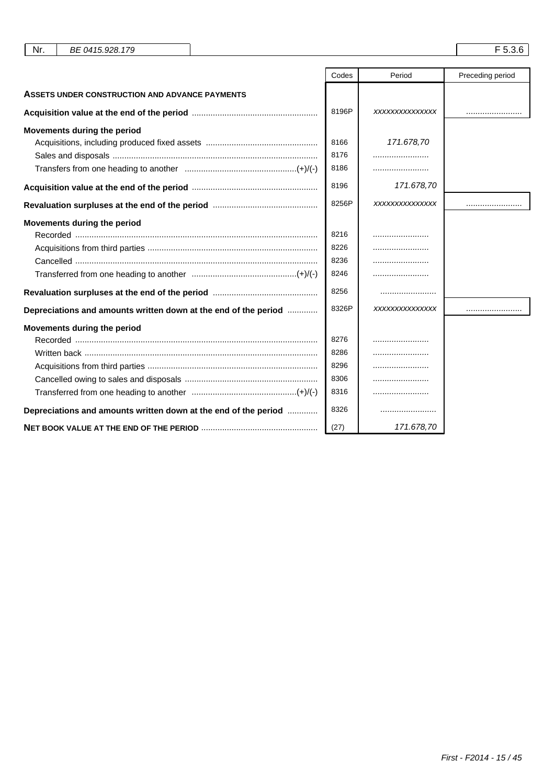| Nr.<br>BE 0415.928.179                                          |       |                | F 5.3.6          |
|-----------------------------------------------------------------|-------|----------------|------------------|
|                                                                 | Codes | Period         | Preceding period |
| ASSETS UNDER CONSTRUCTION AND ADVANCE PAYMENTS                  |       |                |                  |
|                                                                 | 8196P | XXXXXXXXXXXXXX |                  |
| Movements during the period                                     |       |                |                  |
|                                                                 | 8166  | 171.678,70     |                  |
|                                                                 | 8176  |                |                  |
|                                                                 | 8186  |                |                  |
|                                                                 | 8196  | 171.678,70     |                  |
|                                                                 | 8256P | XXXXXXXXXXXXXX |                  |
| Movements during the period                                     |       |                |                  |
|                                                                 | 8216  |                |                  |
|                                                                 | 8226  |                |                  |
|                                                                 | 8236  |                |                  |
|                                                                 | 8246  |                |                  |
|                                                                 | 8256  |                |                  |
| Depreciations and amounts written down at the end of the period | 8326P | XXXXXXXXXXXXXX |                  |
| Movements during the period                                     |       |                |                  |
|                                                                 | 8276  |                |                  |
|                                                                 | 8286  |                |                  |
|                                                                 | 8296  |                |                  |
|                                                                 | 8306  |                |                  |
|                                                                 | 8316  |                |                  |
| Depreciations and amounts written down at the end of the period | 8326  |                |                  |
|                                                                 | (27)  | 171.678,70     |                  |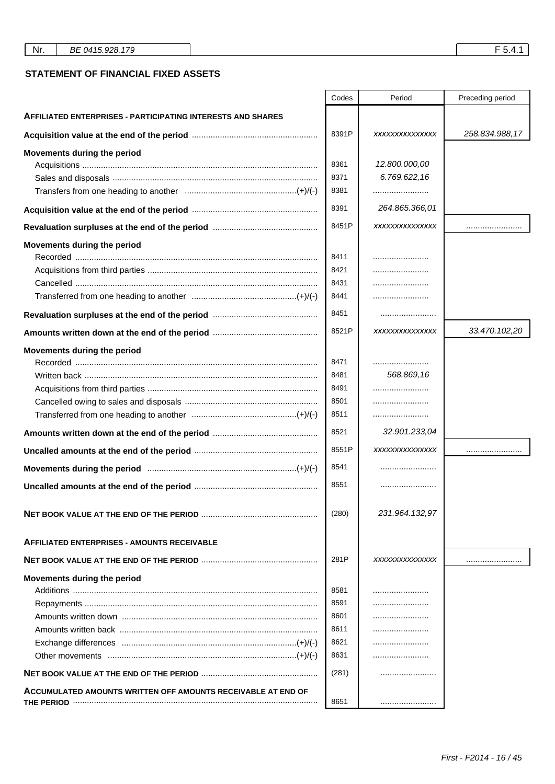|                                                                    | Codes | Period         | Preceding period |
|--------------------------------------------------------------------|-------|----------------|------------------|
| <b>AFFILIATED ENTERPRISES - PARTICIPATING INTERESTS AND SHARES</b> |       |                |                  |
|                                                                    | 8391P | XXXXXXXXXXXXXX | 258.834.988,17   |
| Movements during the period                                        |       |                |                  |
|                                                                    | 8361  | 12.800.000,00  |                  |
|                                                                    | 8371  | 6.769.622,16   |                  |
|                                                                    | 8381  |                |                  |
|                                                                    | 8391  | 264.865.366,01 |                  |
|                                                                    | 8451P | XXXXXXXXXXXXXX |                  |
| Movements during the period                                        |       |                |                  |
|                                                                    | 8411  |                |                  |
|                                                                    | 8421  |                |                  |
|                                                                    | 8431  |                |                  |
|                                                                    | 8441  |                |                  |
|                                                                    | 8451  |                |                  |
|                                                                    | 8521P | XXXXXXXXXXXXXX | 33.470.102,20    |
| Movements during the period                                        |       |                |                  |
|                                                                    | 8471  |                |                  |
|                                                                    | 8481  | 568.869,16     |                  |
|                                                                    | 8491  |                |                  |
|                                                                    | 8501  |                |                  |
|                                                                    | 8511  |                |                  |
|                                                                    | 8521  | 32.901.233,04  |                  |
|                                                                    | 8551P | XXXXXXXXXXXXXX |                  |
|                                                                    | 8541  |                |                  |
|                                                                    | 8551  |                |                  |
|                                                                    | (280) | 231.964.132,97 |                  |
| <b>AFFILIATED ENTERPRISES - AMOUNTS RECEIVABLE</b>                 |       |                |                  |
|                                                                    | 281P  | XXXXXXXXXXXXXX |                  |
| Movements during the period                                        |       |                |                  |
| Additions ……………………………………………………………………………………………                      | 8581  |                |                  |
|                                                                    | 8591  |                |                  |
|                                                                    | 8601  |                |                  |
|                                                                    | 8611  |                |                  |
|                                                                    | 8621  |                |                  |
|                                                                    | 8631  |                |                  |
|                                                                    | (281) |                |                  |
| ACCUMULATED AMOUNTS WRITTEN OFF AMOUNTS RECEIVABLE AT END OF       | 8651  |                |                  |

 $\mathbf{r}$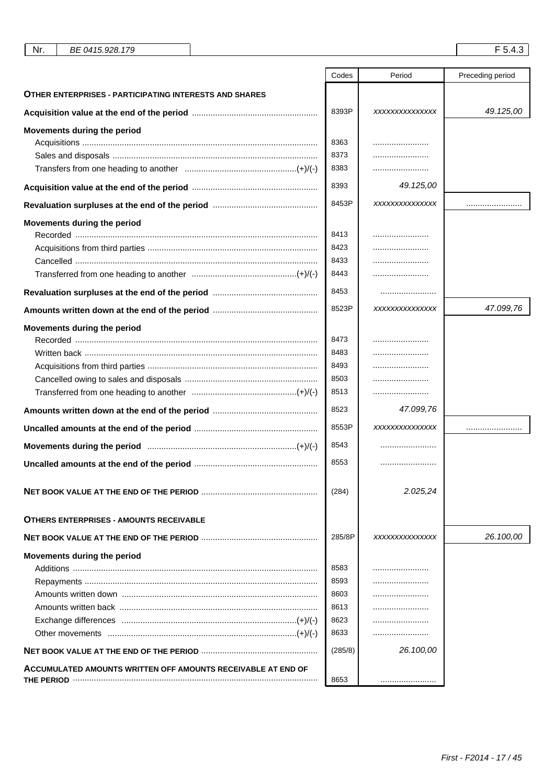|                                                               | Codes   | Period         | Preceding period |
|---------------------------------------------------------------|---------|----------------|------------------|
| <b>OTHER ENTERPRISES - PARTICIPATING INTERESTS AND SHARES</b> |         |                |                  |
|                                                               | 8393P   | XXXXXXXXXXXXXX | 49.125.00        |
| Movements during the period                                   |         |                |                  |
|                                                               | 8363    |                |                  |
|                                                               | 8373    |                |                  |
|                                                               | 8383    |                |                  |
|                                                               | 8393    | 49.125,00      |                  |
|                                                               | 8453P   | XXXXXXXXXXXXXX |                  |
| Movements during the period                                   |         |                |                  |
|                                                               | 8413    |                |                  |
|                                                               | 8423    |                |                  |
|                                                               | 8433    |                |                  |
|                                                               | 8443    |                |                  |
|                                                               | 8453    |                |                  |
|                                                               | 8523P   | XXXXXXXXXXXXXX | 47.099,76        |
| Movements during the period                                   |         |                |                  |
|                                                               | 8473    |                |                  |
| Written back ……………………………………………………………………………………                 | 8483    |                |                  |
|                                                               | 8493    |                |                  |
|                                                               | 8503    |                |                  |
|                                                               | 8513    |                |                  |
|                                                               | 8523    | 47.099,76      |                  |
|                                                               | 8553P   | XXXXXXXXXXXXXX |                  |
|                                                               | 8543    |                |                  |
|                                                               | 8553    |                |                  |
|                                                               | (284)   | 2.025,24       |                  |
| <b>OTHERS ENTERPRISES - AMOUNTS RECEIVABLE</b>                |         |                |                  |
|                                                               | 285/8P  | XXXXXXXXXXXXXX | 26.100,00        |
| Movements during the period                                   |         |                |                  |
|                                                               | 8583    | .              |                  |
|                                                               | 8593    | .              |                  |
|                                                               | 8603    |                |                  |
|                                                               | 8613    |                |                  |
|                                                               | 8623    |                |                  |
|                                                               | 8633    |                |                  |
|                                                               | (285/8) | 26.100,00      |                  |
| ACCUMULATED AMOUNTS WRITTEN OFF AMOUNTS RECEIVABLE AT END OF  |         |                |                  |
|                                                               | 8653    |                |                  |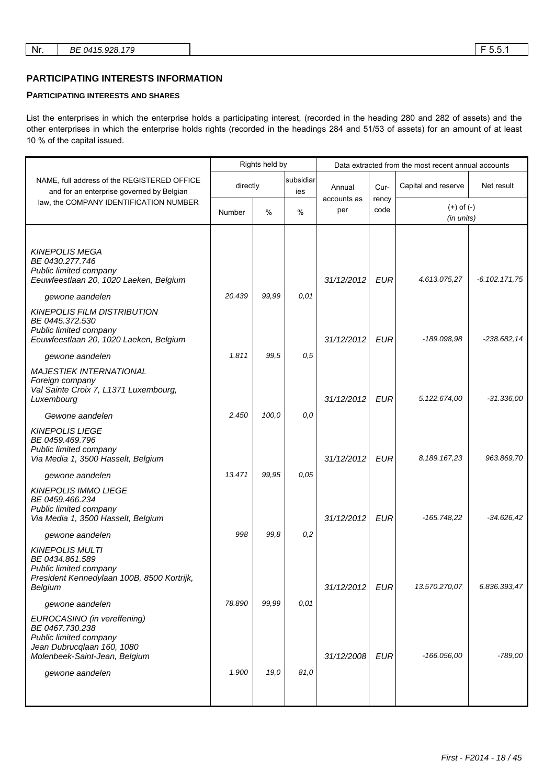## **PARTICIPATING INTERESTS INFORMATION**

#### **PARTICIPATING INTERESTS AND SHARES**

List the enterprises in which the enterprise holds a participating interest, (recorded in the heading 280 and 282 of assets) and the other enterprises in which the enterprise holds rights (recorded in the headings 284 and 51/53 of assets) for an amount of at least 10 % of the capital issued.

|                                                                                                                                                            |          | Rights held by |                  |                    |               | Data extracted from the most recent annual accounts |                 |
|------------------------------------------------------------------------------------------------------------------------------------------------------------|----------|----------------|------------------|--------------------|---------------|-----------------------------------------------------|-----------------|
| NAME, full address of the REGISTERED OFFICE<br>and for an enterprise governed by Belgian                                                                   | directly |                | subsidiar<br>ies | Annual             | Cur-          | Capital and reserve                                 | Net result      |
| law, the COMPANY IDENTIFICATION NUMBER                                                                                                                     | Number   | $\%$           | %                | accounts as<br>per | rency<br>code | $(+)$ of $(-)$<br>(in units)                        |                 |
|                                                                                                                                                            |          |                |                  |                    |               |                                                     |                 |
| <b>KINEPOLIS MEGA</b><br>BE 0430.277.746<br>Public limited company<br>Eeuwfeestlaan 20, 1020 Laeken, Belgium                                               |          |                |                  | 31/12/2012         | <b>EUR</b>    | 4.613.075,27                                        | $-6.102.171,75$ |
| gewone aandelen                                                                                                                                            | 20.439   | 99,99          | 0.01             |                    |               |                                                     |                 |
| <b>KINEPOLIS FILM DISTRIBUTION</b><br>BE 0445.372.530<br>Public limited company<br>Eeuwfeestlaan 20, 1020 Laeken, Belgium                                  |          |                |                  | 31/12/2012         | <b>EUR</b>    | -189.098,98                                         | $-238.682, 14$  |
| gewone aandelen                                                                                                                                            | 1.811    | 99,5           | 0,5              |                    |               |                                                     |                 |
| <b>MAJESTIEK INTERNATIONAL</b><br>Foreign company<br>Val Sainte Croix 7, L1371 Luxembourg,<br>Luxembourg                                                   |          |                |                  | 31/12/2012         | <b>EUR</b>    | 5.122.674,00                                        | $-31.336,00$    |
| Gewone aandelen                                                                                                                                            | 2.450    | 100,0          | 0,0              |                    |               |                                                     |                 |
| <b>KINEPOLIS LIEGE</b><br>BE 0459.469.796<br>Public limited company<br>Via Media 1, 3500 Hasselt, Belgium                                                  |          |                |                  | 31/12/2012         | <b>EUR</b>    | 8.189.167,23                                        | 963.869,70      |
| gewone aandelen                                                                                                                                            | 13.471   | 99,95          | 0.05             |                    |               |                                                     |                 |
| <b>KINEPOLIS IMMO LIEGE</b><br>BE 0459.466.234<br>Public limited company<br>Via Media 1, 3500 Hasselt, Belgium                                             |          |                |                  | 31/12/2012         | <b>EUR</b>    | $-165.748,22$                                       | $-34.626.42$    |
| gewone aandelen                                                                                                                                            | 998      | 99.8           | 0,2              |                    |               |                                                     |                 |
| <b>KINEPOLIS MULTI</b><br>BE 0434.861.589<br>Public limited company<br>President Kennedylaan 100B, 8500 Kortrijk,<br>Belgium                               |          |                |                  | 31/12/2012         | <b>EUR</b>    | 13.570.270,07                                       | 6.836.393,47    |
| gewone aandelen                                                                                                                                            | 78.890   | 99,99          | 0,01             |                    |               |                                                     |                 |
| EUROCASINO (in vereffening)<br>BE 0467.730.238<br>Public limited company<br>Jean Dubrucqlaan 160, 1080<br>Molenbeek-Saint-Jean, Belgium<br>gewone aandelen | 1.900    | 19,0           | 81,0             | 31/12/2008         | <b>EUR</b>    | $-166.056,00$                                       | $-789,00$       |
|                                                                                                                                                            |          |                |                  |                    |               |                                                     |                 |
|                                                                                                                                                            |          |                |                  |                    |               |                                                     |                 |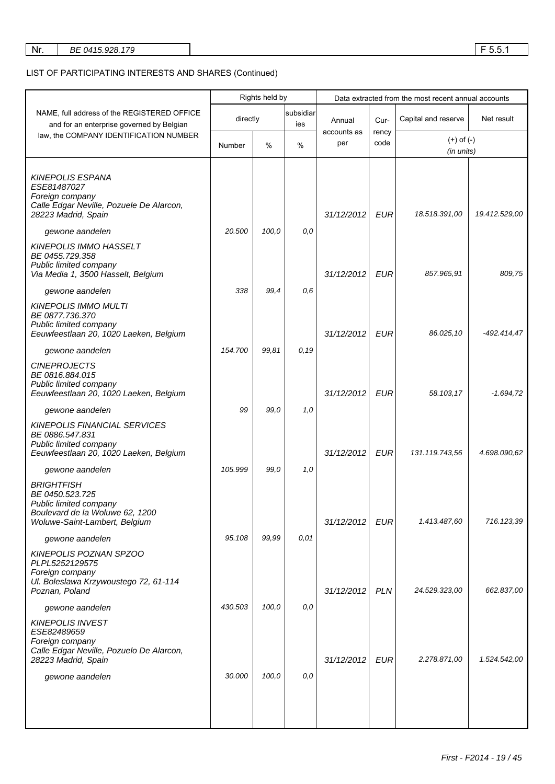| Nr. | BE 0415.928.179 |  | .<br><b>____</b><br>ັບ.ບ. |
|-----|-----------------|--|---------------------------|
|-----|-----------------|--|---------------------------|

# LIST OF PARTICIPATING INTERESTS AND SHARES (Continued)

|                                                                                                                                    |          | Rights held by |                  |                    |               | Data extracted from the most recent annual accounts |               |
|------------------------------------------------------------------------------------------------------------------------------------|----------|----------------|------------------|--------------------|---------------|-----------------------------------------------------|---------------|
| NAME, full address of the REGISTERED OFFICE<br>and for an enterprise governed by Belgian                                           | directly |                | subsidiar<br>ies | Annual             | Cur-          | Capital and reserve                                 | Net result    |
| law, the COMPANY IDENTIFICATION NUMBER                                                                                             | Number   | $\%$           | $\%$             | accounts as<br>per | rency<br>code | $(+)$ of $(-)$<br>(in units)                        |               |
| <b>KINEPOLIS ESPANA</b><br>ESE81487027<br>Foreign company<br>Calle Edgar Neville, Pozuele De Alarcon,<br>28223 Madrid, Spain       |          |                |                  | 31/12/2012         | <b>EUR</b>    | 18.518.391,00                                       | 19.412.529,00 |
| gewone aandelen                                                                                                                    | 20.500   | 100,0          | 0,0              |                    |               |                                                     |               |
| <b>KINEPOLIS IMMO HASSELT</b><br>BE 0455.729.358<br>Public limited company<br>Via Media 1, 3500 Hasselt, Belgium                   |          |                |                  | 31/12/2012         | <b>EUR</b>    | 857.965,91                                          | 809,75        |
| gewone aandelen                                                                                                                    | 338      | 99,4           | 0,6              |                    |               |                                                     |               |
| <b>KINEPOLIS IMMO MULTI</b><br>BE 0877.736.370<br>Public limited company<br>Eeuwfeestlaan 20, 1020 Laeken, Belgium                 |          |                |                  | 31/12/2012         | <b>EUR</b>    | 86.025,10                                           | -492.414,47   |
| gewone aandelen                                                                                                                    | 154.700  | 99,81          | 0,19             |                    |               |                                                     |               |
| <b>CINEPROJECTS</b><br>BE 0816.884.015<br>Public limited company<br>Eeuwfeestlaan 20, 1020 Laeken, Belgium                         |          |                |                  | 31/12/2012         | <b>EUR</b>    | 58.103,17                                           | $-1.694,72$   |
| gewone aandelen                                                                                                                    | 99       | 99,0           | 1,0              |                    |               |                                                     |               |
| <b>KINEPOLIS FINANCIAL SERVICES</b><br>BE 0886.547.831<br>Public limited company<br>Eeuwfeestlaan 20, 1020 Laeken, Belgium         |          |                |                  | 31/12/2012         | <b>EUR</b>    | 131.119.743,56                                      | 4.698.090,62  |
| gewone aandelen                                                                                                                    | 105.999  | 99,0           | 1,0              |                    |               |                                                     |               |
| <b>BRIGHTFISH</b><br>BE 0450.523.725<br>Public limited company<br>Boulevard de la Woluwe 62, 1200<br>Woluwe-Saint-Lambert, Belgium |          |                |                  | 31/12/2012         | <b>EUR</b>    | 1.413.487,60                                        | 716.123,39    |
| gewone aandelen                                                                                                                    | 95.108   | 99,99          | 0.01             |                    |               |                                                     |               |
| KINEPOLIS POZNAN SPZOO<br>PLPL5252129575<br>Foreign company<br>Ul. Boleslawa Krzywoustego 72, 61-114<br>Poznan, Poland             |          |                |                  | 31/12/2012         | <b>PLN</b>    | 24.529.323,00                                       | 662.837,00    |
| gewone aandelen                                                                                                                    | 430.503  | 100,0          | 0,0              |                    |               |                                                     |               |
| <b>KINEPOLIS INVEST</b><br>ESE82489659<br>Foreign company<br>Calle Edgar Neville, Pozuelo De Alarcon,<br>28223 Madrid, Spain       |          |                |                  | 31/12/2012         | <b>EUR</b>    | 2.278.871,00                                        | 1.524.542,00  |
| gewone aandelen                                                                                                                    | 30.000   | 100,0          | 0,0              |                    |               |                                                     |               |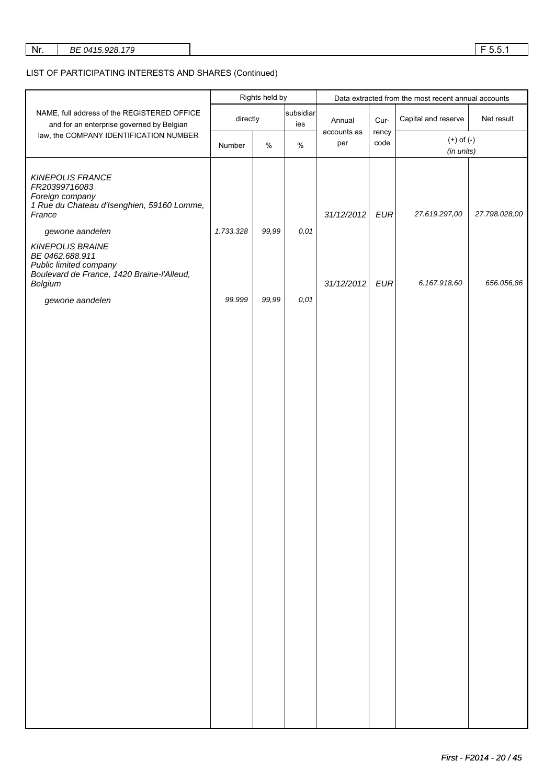| Nr.<br>BE 0415.928.179 | F551<br>ັບ.ບ. |
|------------------------|---------------|
|------------------------|---------------|

# LIST OF PARTICIPATING INTERESTS AND SHARES (Continued)

|                                                                                                                               |           | Rights held by |                  |                    |               | Data extracted from the most recent annual accounts |               |  |
|-------------------------------------------------------------------------------------------------------------------------------|-----------|----------------|------------------|--------------------|---------------|-----------------------------------------------------|---------------|--|
| NAME, full address of the REGISTERED OFFICE<br>and for an enterprise governed by Belgian                                      | directly  |                | subsidiar<br>ies | Annual             | Cur-          | Capital and reserve                                 | Net result    |  |
| law, the COMPANY IDENTIFICATION NUMBER                                                                                        | Number    | $\%$           | $\%$             | accounts as<br>per | rency<br>code | $(+)$ of $(-)$<br>(in units)                        |               |  |
| <b>KINEPOLIS FRANCE</b><br>FR20399716083<br>Foreign company<br>1 Rue du Chateau d'Isenghien, 59160 Lomme,<br>France           |           |                |                  | 31/12/2012         | <b>EUR</b>    | 27.619.297,00                                       | 27.798.028,00 |  |
| gewone aandelen                                                                                                               | 1.733.328 | 99,99          | 0,01             |                    |               |                                                     |               |  |
| <b>KINEPOLIS BRAINE</b><br>BE 0462.688.911<br>Public limited company<br>Boulevard de France, 1420 Braine-l'Alleud,<br>Belgium |           |                |                  | 31/12/2012         | <b>EUR</b>    | 6.167.918,60                                        | 656.056,86    |  |
| gewone aandelen                                                                                                               | 99.999    | 99,99          | 0,01             |                    |               |                                                     |               |  |
|                                                                                                                               |           |                |                  |                    |               |                                                     |               |  |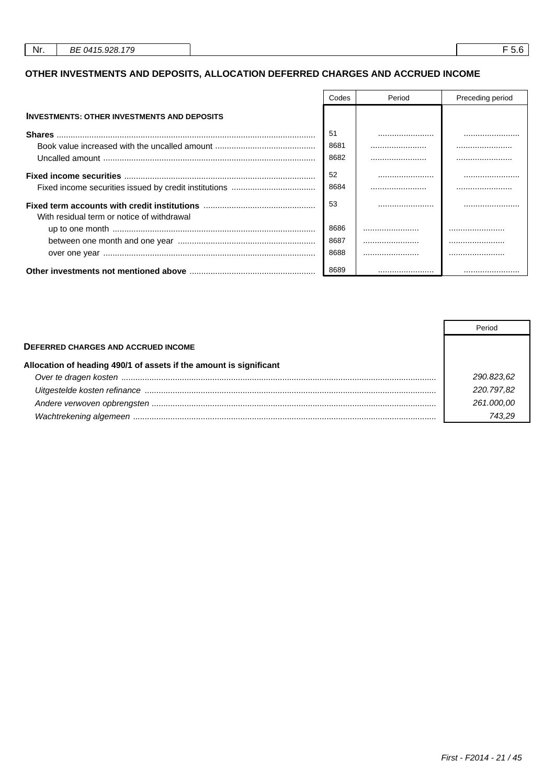# OTHER INVESTMENTS AND DEPOSITS, ALLOCATION DEFERRED CHARGES AND ACCRUED INCOME

|                                                    | Codes | Period | Preceding period |
|----------------------------------------------------|-------|--------|------------------|
| <b>INVESTMENTS: OTHER INVESTMENTS AND DEPOSITS</b> |       |        |                  |
|                                                    | 51    |        |                  |
|                                                    | 8681  |        |                  |
|                                                    | 8682  |        |                  |
|                                                    | 52    |        |                  |
|                                                    | 8684  |        |                  |
| With residual term or notice of withdrawal         | 53    |        |                  |
|                                                    | 8686  |        |                  |
|                                                    | 8687  |        |                  |
|                                                    | 8688  |        |                  |
|                                                    | 8689  |        |                  |

|                                                                    | Period     |
|--------------------------------------------------------------------|------------|
| <b>DEFERRED CHARGES AND ACCRUED INCOME</b>                         |            |
| Allocation of heading 490/1 of assets if the amount is significant |            |
|                                                                    | 290.823.62 |
|                                                                    | 220.797.82 |
|                                                                    | 261.000.00 |
|                                                                    |            |

 $F$  5.6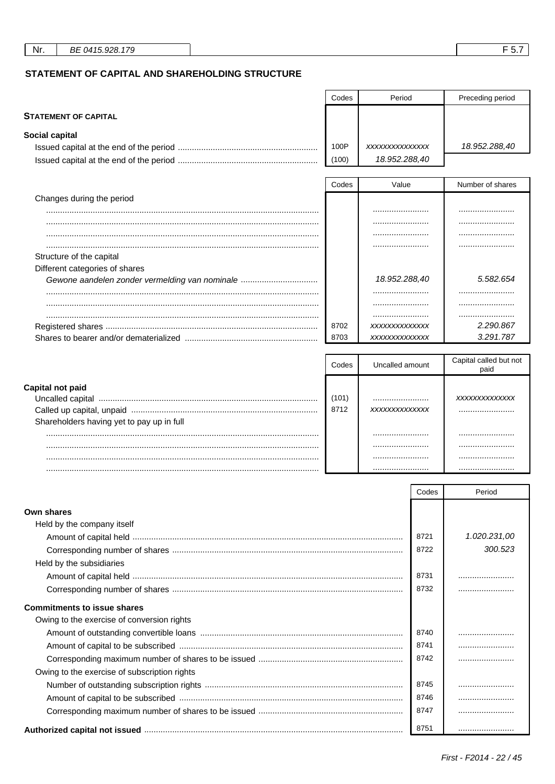STATEMENT OF CAPITAL AND SHAREHOLDING STRUCTURE

|                                                | Codes | Period          | Preceding period               |
|------------------------------------------------|-------|-----------------|--------------------------------|
| <b>STATEMENT OF CAPITAL</b>                    |       |                 |                                |
| Social capital                                 |       |                 |                                |
|                                                | 100P  | XXXXXXXXXXXXXX  | 18.952.288,40                  |
|                                                | (100) | 18.952.288,40   |                                |
|                                                | Codes | Value           | Number of shares               |
| Changes during the period                      |       |                 |                                |
|                                                |       |                 |                                |
|                                                |       |                 |                                |
|                                                |       |                 |                                |
|                                                |       |                 |                                |
| Structure of the capital                       |       |                 |                                |
| Different categories of shares                 |       |                 |                                |
| Gewone aandelen zonder vermelding van nominale |       | 18.952.288,40   | 5.582.654                      |
|                                                |       |                 |                                |
|                                                |       |                 |                                |
|                                                |       |                 |                                |
|                                                | 8702  | XXXXXXXXXXXXX   | 2.290.867                      |
|                                                | 8703  | XXXXXXXXXXXXX   | 3.291.787                      |
|                                                |       |                 |                                |
|                                                | Codes | Uncalled amount | Capital called but not<br>paid |
| Capital not paid                               |       |                 |                                |
|                                                | (101) |                 | XXXXXXXXXXXXXX                 |
|                                                | 8712  | XXXXXXXXXXXXX   |                                |
| Shareholders having yet to nay up in full      |       |                 |                                |

| Shareholders having yet to pay up in full |  |  |
|-------------------------------------------|--|--|
|                                           |  |  |
|                                           |  |  |
|                                           |  |  |
|                                           |  |  |
|                                           |  |  |

|                                              | Codes | Period       |
|----------------------------------------------|-------|--------------|
| Own shares                                   |       |              |
| Held by the company itself                   |       |              |
|                                              | 8721  | 1.020.231,00 |
|                                              | 8722  | 300.523      |
| Held by the subsidiaries                     |       |              |
|                                              | 8731  |              |
|                                              | 8732  |              |
| <b>Commitments to issue shares</b>           |       |              |
| Owing to the exercise of conversion rights   |       |              |
|                                              | 8740  |              |
|                                              | 8741  |              |
|                                              | 8742  |              |
| Owing to the exercise of subscription rights |       |              |
|                                              | 8745  |              |
|                                              | 8746  |              |
|                                              | 8747  |              |
|                                              | 8751  |              |

 $F$  5.7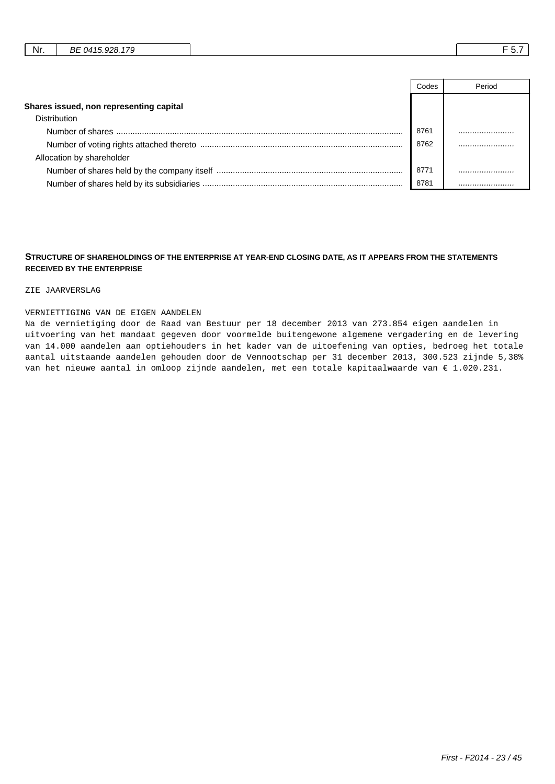|  | Nr. | 170<br>DЕ<br>റാ<br>$041$ <sup><math>-</math></sup><br>DC<br>. .<br>. |  | . .<br>. |
|--|-----|----------------------------------------------------------------------|--|----------|
|--|-----|----------------------------------------------------------------------|--|----------|

|                                         | Codes | Period |
|-----------------------------------------|-------|--------|
| Shares issued, non representing capital |       |        |
| <b>Distribution</b>                     |       |        |
|                                         | 8761  |        |
|                                         | 8762  |        |
| Allocation by shareholder               |       |        |
|                                         | 8771  |        |
|                                         | 8781  |        |

#### **STRUCTURE OF SHAREHOLDINGS OF THE ENTERPRISE AT YEAR-END CLOSING DATE, AS IT APPEARS FROM THE STATEMENTS RECEIVED BY THE ENTERPRISE**

#### ZIE JAARVERSLAG

#### VERNIETTIGING VAN DE EIGEN AANDELEN

Na de vernietiging door de Raad van Bestuur per 18 december 2013 van 273.854 eigen aandelen in uitvoering van het mandaat gegeven door voormelde buitengewone algemene vergadering en de levering van 14.000 aandelen aan optiehouders in het kader van de uitoefening van opties, bedroeg het totale aantal uitstaande aandelen gehouden door de Vennootschap per 31 december 2013, 300.523 zijnde 5,38% van het nieuwe aantal in omloop zijnde aandelen, met een totale kapitaalwaarde van € 1.020.231.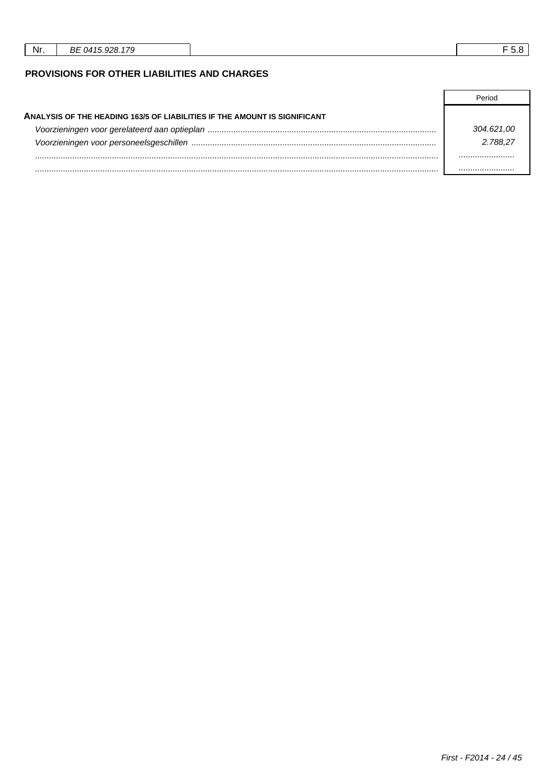| Nr. | ∍.<br>~~<br>ъ.<br>- בו<br>БE |  |
|-----|------------------------------|--|
|     |                              |  |

# PROVISIONS FOR OTHER LIABILITIES AND CHARGES

| ANALYSIS OF THE HEADING 163/5 OF LIABILITIES IF THE AMOUNT IS SIGNIFICANT |            |
|---------------------------------------------------------------------------|------------|
|                                                                           | 304.621.00 |
|                                                                           | 2.788.27   |
|                                                                           |            |
|                                                                           |            |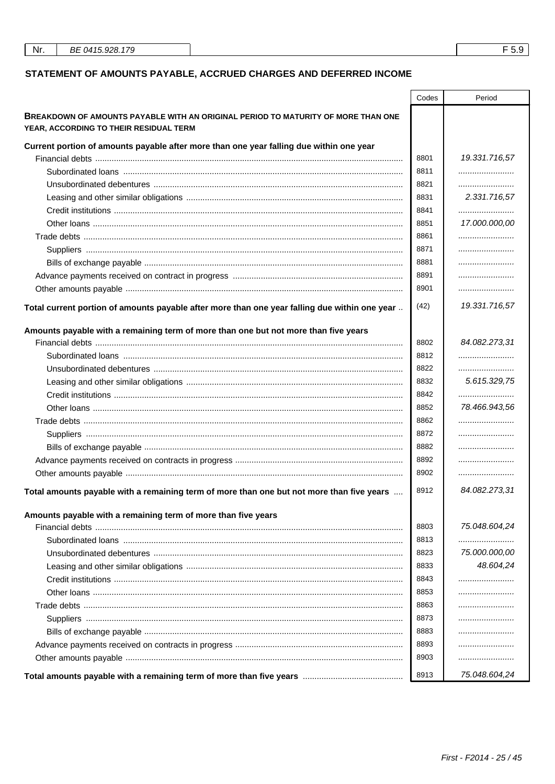# STATEMENT OF AMOUNTS PAYABLE, ACCRUED CHARGES AND DEFERRED INCOME

|                                                                                                                             | Codes | Period        |
|-----------------------------------------------------------------------------------------------------------------------------|-------|---------------|
| BREAKDOWN OF AMOUNTS PAYABLE WITH AN ORIGINAL PERIOD TO MATURITY OF MORE THAN ONE<br>YEAR, ACCORDING TO THEIR RESIDUAL TERM |       |               |
| Current portion of amounts payable after more than one year falling due within one year                                     |       |               |
|                                                                                                                             | 8801  | 19.331.716,57 |
|                                                                                                                             | 8811  |               |
|                                                                                                                             | 8821  |               |
|                                                                                                                             | 8831  | 2.331.716,57  |
|                                                                                                                             | 8841  |               |
|                                                                                                                             | 8851  | 17.000.000,00 |
|                                                                                                                             | 8861  |               |
|                                                                                                                             | 8871  |               |
|                                                                                                                             | 8881  |               |
|                                                                                                                             | 8891  |               |
|                                                                                                                             | 8901  |               |
| Total current portion of amounts payable after more than one year falling due within one year                               | (42)  | 19.331.716,57 |
| Amounts payable with a remaining term of more than one but not more than five years                                         |       |               |
|                                                                                                                             | 8802  | 84.082.273,31 |
|                                                                                                                             | 8812  |               |
|                                                                                                                             | 8822  |               |
|                                                                                                                             | 8832  | 5.615.329,75  |
|                                                                                                                             | 8842  |               |
|                                                                                                                             | 8852  | 78.466.943.56 |
|                                                                                                                             | 8862  |               |
|                                                                                                                             | 8872  |               |
|                                                                                                                             | 8882  |               |
|                                                                                                                             | 8892  |               |
|                                                                                                                             | 8902  |               |
|                                                                                                                             | 8912  | 84.082.273,31 |
| Total amounts payable with a remaining term of more than one but not more than five years                                   |       |               |
| Amounts payable with a remaining term of more than five years                                                               |       |               |
|                                                                                                                             | 8803  | 75.048.604,24 |
|                                                                                                                             | 8813  |               |
|                                                                                                                             | 8823  | 75.000.000,00 |
|                                                                                                                             | 8833  | 48.604,24     |
|                                                                                                                             | 8843  |               |
|                                                                                                                             | 8853  |               |
|                                                                                                                             | 8863  |               |
|                                                                                                                             | 8873  |               |
|                                                                                                                             | 8883  |               |
|                                                                                                                             | 8893  |               |
|                                                                                                                             | 8903  |               |
| Total amounts payable with a remaining term of more than five years <b>multimerally</b> remain mannounts                    | 8913  | 75.048.604,24 |

 $F$  5.9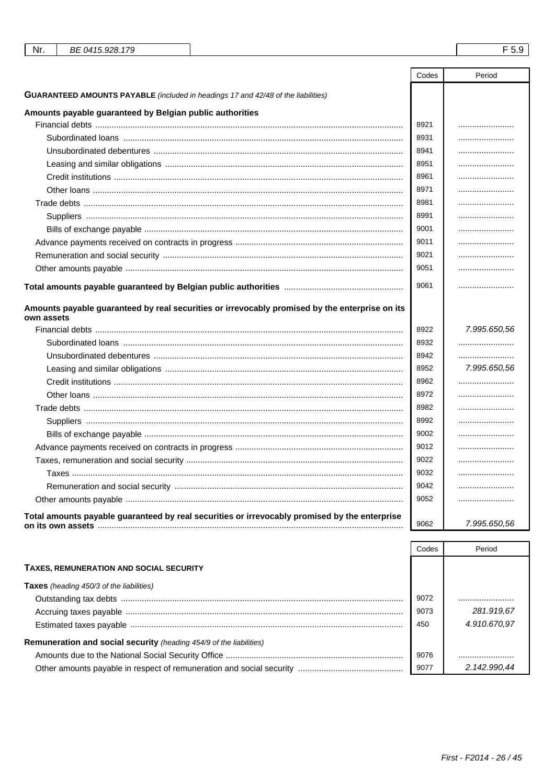| Nr.<br>BE 0415.928.179                                                                                       |       | F 5.9        |
|--------------------------------------------------------------------------------------------------------------|-------|--------------|
|                                                                                                              |       |              |
|                                                                                                              | Codes | Period       |
| <b>GUARANTEED AMOUNTS PAYABLE</b> (included in headings 17 and 42/48 of the liabilities)                     |       |              |
| Amounts payable guaranteed by Belgian public authorities                                                     |       |              |
|                                                                                                              | 8921  |              |
|                                                                                                              | 8931  |              |
|                                                                                                              | 8941  |              |
|                                                                                                              | 8951  |              |
|                                                                                                              | 8961  |              |
|                                                                                                              | 8971  |              |
|                                                                                                              | 8981  |              |
|                                                                                                              | 8991  |              |
|                                                                                                              | 9001  |              |
|                                                                                                              | 9011  |              |
|                                                                                                              | 9021  |              |
|                                                                                                              | 9051  |              |
|                                                                                                              | 9061  |              |
|                                                                                                              |       |              |
| Amounts payable guaranteed by real securities or irrevocably promised by the enterprise on its<br>own assets |       |              |
|                                                                                                              | 8922  | 7.995.650,56 |
|                                                                                                              | 8932  |              |
|                                                                                                              | 8942  |              |
|                                                                                                              | 8952  | 7.995.650,56 |
|                                                                                                              | 8962  |              |
|                                                                                                              | 8972  |              |
|                                                                                                              | 8982  |              |
|                                                                                                              | 8992  |              |
|                                                                                                              | 9002  |              |
|                                                                                                              | 9012  |              |
|                                                                                                              | 9022  |              |
|                                                                                                              | 9032  |              |
|                                                                                                              | 9042  |              |
|                                                                                                              | 9052  |              |
| Total amounts payable guaranteed by real securities or irrevocably promised by the enterprise                | 9062  | 7.995.650,56 |

|                                                                     | Codes | Period       |
|---------------------------------------------------------------------|-------|--------------|
| <b>TAXES, REMUNERATION AND SOCIAL SECURITY</b>                      |       |              |
| <b>Taxes</b> (heading 450/3 of the liabilities)                     |       |              |
|                                                                     | 9072  |              |
|                                                                     | 9073  | 281.919.67   |
|                                                                     | 450   | 4.910.670.97 |
| Remuneration and social security (heading 454/9 of the liabilities) |       |              |
|                                                                     | 9076  |              |
|                                                                     | 9077  | 2.142.990.44 |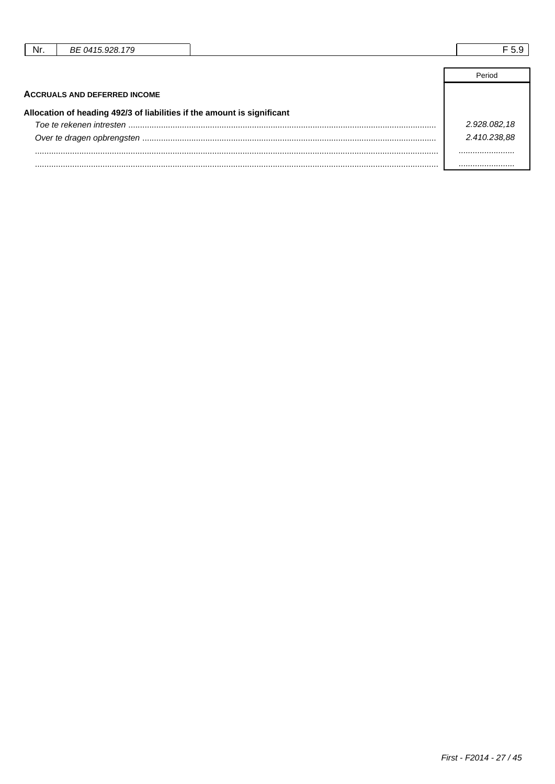| Nr. | BE 0415.928.179                                                         |              |
|-----|-------------------------------------------------------------------------|--------------|
|     |                                                                         |              |
|     |                                                                         | Period       |
|     | <b>ACCRUALS AND DEFERRED INCOME</b>                                     |              |
|     | Allocation of heading 492/3 of liabilities if the amount is significant |              |
|     |                                                                         | 2.928.082,18 |
|     |                                                                         | 2.410.238.88 |
|     |                                                                         |              |

......................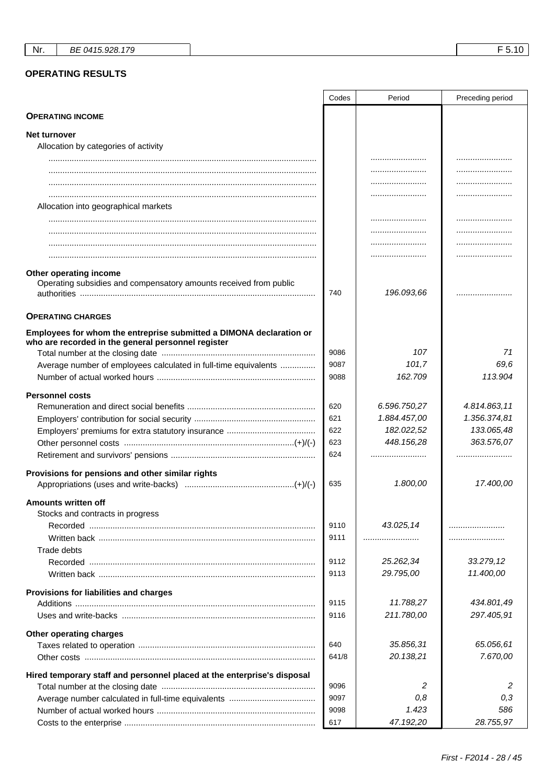# **OPERATING RESULTS**

|                                                                                                                           | Codes | Period                   | Preceding period           |
|---------------------------------------------------------------------------------------------------------------------------|-------|--------------------------|----------------------------|
| <b>OPERATING INCOME</b>                                                                                                   |       |                          |                            |
| Net turnover                                                                                                              |       |                          |                            |
| Allocation by categories of activity                                                                                      |       |                          |                            |
|                                                                                                                           |       |                          |                            |
|                                                                                                                           |       |                          |                            |
|                                                                                                                           |       |                          |                            |
|                                                                                                                           |       |                          |                            |
| Allocation into geographical markets                                                                                      |       |                          |                            |
|                                                                                                                           |       |                          |                            |
|                                                                                                                           |       |                          |                            |
|                                                                                                                           |       |                          |                            |
|                                                                                                                           |       |                          | .                          |
| Other operating income                                                                                                    |       |                          |                            |
| Operating subsidies and compensatory amounts received from public                                                         |       |                          |                            |
|                                                                                                                           | 740   | 196.093,66               |                            |
|                                                                                                                           |       |                          |                            |
| <b>OPERATING CHARGES</b>                                                                                                  |       |                          |                            |
| Employees for whom the entreprise submitted a DIMONA declaration or<br>who are recorded in the general personnel register |       |                          |                            |
|                                                                                                                           | 9086  | 107                      | 71                         |
| Average number of employees calculated in full-time equivalents                                                           | 9087  | 101,7                    | 69,6                       |
|                                                                                                                           | 9088  | 162.709                  | 113.904                    |
|                                                                                                                           |       |                          |                            |
| <b>Personnel costs</b>                                                                                                    | 620   | 6.596.750,27             | 4.814.863,11               |
|                                                                                                                           |       |                          |                            |
|                                                                                                                           | 621   | 1.884.457,00             | 1.356.374,81<br>133.065,48 |
|                                                                                                                           | 622   | 182.022,52<br>448.156,28 | 363.576,07                 |
|                                                                                                                           | 623   |                          |                            |
|                                                                                                                           | 624   |                          |                            |
| Provisions for pensions and other similar rights                                                                          |       |                          |                            |
|                                                                                                                           | 635   | 1.800,00                 | 17.400,00                  |
| <b>Amounts written off</b>                                                                                                |       |                          |                            |
| Stocks and contracts in progress                                                                                          |       |                          |                            |
|                                                                                                                           | 9110  | 43.025,14                |                            |
|                                                                                                                           | 9111  |                          |                            |
| Trade debts                                                                                                               |       |                          |                            |
| Recorded                                                                                                                  | 9112  | 25.262,34                | 33.279,12                  |
|                                                                                                                           | 9113  | 29.795,00                | 11.400,00                  |
|                                                                                                                           |       |                          |                            |
| Provisions for liabilities and charges                                                                                    | 9115  | 11.788,27                | 434.801,49                 |
|                                                                                                                           | 9116  | 211.780,00               | 297.405,91                 |
|                                                                                                                           |       |                          |                            |
| Other operating charges                                                                                                   |       |                          |                            |
|                                                                                                                           | 640   | 35.856,31                | 65.056,61                  |
|                                                                                                                           | 641/8 | 20.138,21                | 7.670,00                   |
| Hired temporary staff and personnel placed at the enterprise's disposal                                                   |       |                          |                            |
|                                                                                                                           | 9096  | 2                        | 2                          |
|                                                                                                                           | 9097  | 0,8                      | 0,3                        |
|                                                                                                                           | 9098  | 1.423                    | 586                        |
|                                                                                                                           | 617   | 47.192,20                | 28.755,97                  |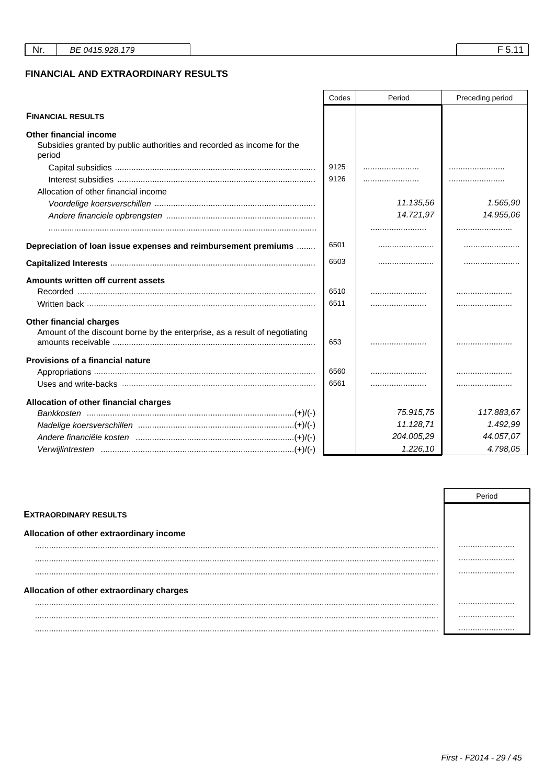|                                                                                                                   | Codes | Period     | Preceding period |
|-------------------------------------------------------------------------------------------------------------------|-------|------------|------------------|
| <b>FINANCIAL RESULTS</b>                                                                                          |       |            |                  |
| <b>Other financial income</b><br>Subsidies granted by public authorities and recorded as income for the<br>period |       |            |                  |
|                                                                                                                   | 9125  |            |                  |
|                                                                                                                   | 9126  |            |                  |
| Allocation of other financial income                                                                              |       |            |                  |
|                                                                                                                   |       | 11.135,56  | 1.565,90         |
|                                                                                                                   |       | 14.721,97  | 14.955,06        |
|                                                                                                                   |       |            |                  |
| Depreciation of loan issue expenses and reimbursement premiums                                                    | 6501  |            |                  |
|                                                                                                                   | 6503  |            |                  |
| Amounts written off current assets                                                                                |       |            |                  |
|                                                                                                                   | 6510  |            |                  |
|                                                                                                                   | 6511  |            |                  |
| <b>Other financial charges</b><br>Amount of the discount borne by the enterprise, as a result of negotiating      | 653   |            | .                |
| <b>Provisions of a financial nature</b>                                                                           |       |            |                  |
|                                                                                                                   | 6560  |            | .                |
|                                                                                                                   | 6561  |            |                  |
| Allocation of other financial charges                                                                             |       |            |                  |
|                                                                                                                   |       | 75.915,75  | 117.883,67       |
|                                                                                                                   |       | 11.128,71  | 1.492,99         |
|                                                                                                                   |       | 204.005,29 | 44.057,07        |
|                                                                                                                   |       | 1.226,10   | 4.798,05         |

|                                           | Period |
|-------------------------------------------|--------|
| <b>EXTRAORDINARY RESULTS</b>              |        |
| Allocation of other extraordinary income  |        |
| .                                         |        |
|                                           |        |
|                                           |        |
| Allocation of other extraordinary charges |        |
|                                           |        |
|                                           |        |
|                                           |        |

 $F$  5.11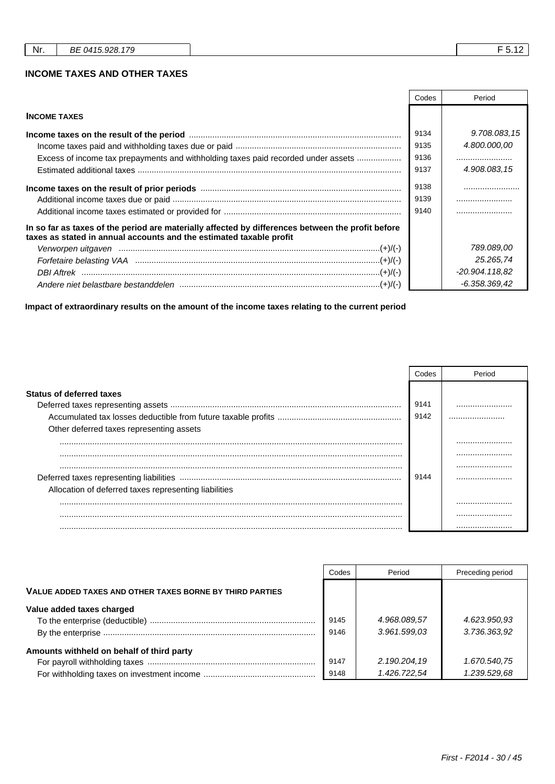#### **INCOME TAXES AND OTHER TAXES**

|                                                                                                                                                                          | Codes                | Period         |
|--------------------------------------------------------------------------------------------------------------------------------------------------------------------------|----------------------|----------------|
| <b>INCOME TAXES</b>                                                                                                                                                      |                      |                |
|                                                                                                                                                                          | 9134                 | 9.708.083,15   |
|                                                                                                                                                                          | 9135                 | 4.800.000,00   |
| Excess of income tax prepayments and withholding taxes paid recorded under assets                                                                                        | 9136                 |                |
|                                                                                                                                                                          | 9137                 | 4.908.083.15   |
|                                                                                                                                                                          | 9138<br>9139<br>9140 |                |
| In so far as taxes of the period are materially affected by differences between the profit before<br>taxes as stated in annual accounts and the estimated taxable profit |                      |                |
|                                                                                                                                                                          |                      | 789.089.00     |
| Forfetaire belasting VAA manual manual manual manual manual (+)/(-)                                                                                                      |                      | 25.265,74      |
|                                                                                                                                                                          |                      | -20.904.118.82 |
|                                                                                                                                                                          |                      | -6.358.369,42  |

**Impact of extraordinary results on the amount of the income taxes relating to the current period**

|                                                       | Codes | Period |
|-------------------------------------------------------|-------|--------|
| <b>Status of deferred taxes</b>                       |       |        |
|                                                       | 9141  |        |
|                                                       | 9142  |        |
| Other deferred taxes representing assets              |       |        |
|                                                       |       |        |
|                                                       |       |        |
|                                                       |       |        |
|                                                       | 9144  |        |
| Allocation of deferred taxes representing liabilities |       |        |
|                                                       |       |        |
|                                                       |       |        |
|                                                       |       |        |

|                                                          | Codes        | Period                       | Preceding period             |
|----------------------------------------------------------|--------------|------------------------------|------------------------------|
| VALUE ADDED TAXES AND OTHER TAXES BORNE BY THIRD PARTIES |              |                              |                              |
| Value added taxes charged                                | 9145<br>9146 | 4.968.089,57<br>3.961.599.03 | 4.623.950,93<br>3.736.363,92 |
| Amounts withheld on behalf of third party                | 9147<br>9148 | 2.190.204,19<br>1.426.722.54 | 1.670.540,75<br>1.239.529,68 |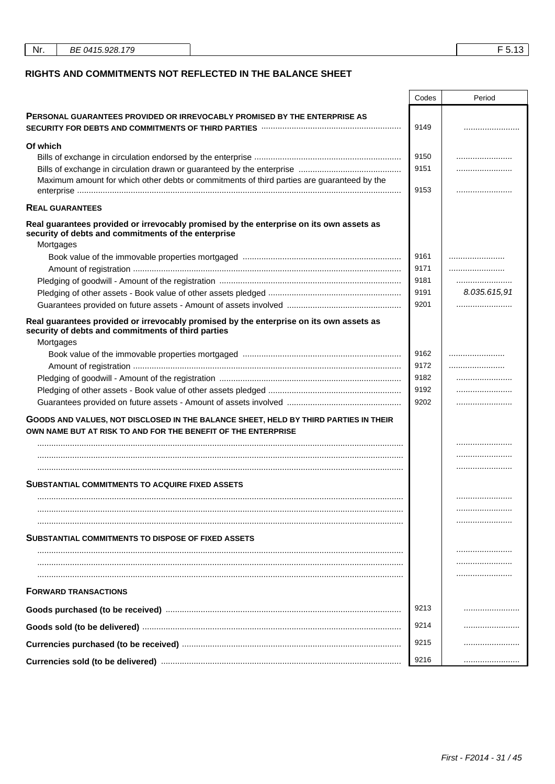| Nr. | BE 0415.928.179 |
|-----|-----------------|
|     |                 |

r

### RIGHTS AND COMMITMENTS NOT REFLECTED IN THE BALANCE SHEET

|                                                                                                                                                                                  | Codes | Period       |
|----------------------------------------------------------------------------------------------------------------------------------------------------------------------------------|-------|--------------|
| <b>PERSONAL GUARANTEES PROVIDED OR IRREVOCABLY PROMISED BY THE ENTERPRISE AS</b><br>SECURITY FOR DEBTS AND COMMITMENTS OF THIRD PARTIES <b>With COMMITMENTS</b> OF THIRD PARTIES | 9149  |              |
| Of which                                                                                                                                                                         |       |              |
|                                                                                                                                                                                  | 9150  |              |
|                                                                                                                                                                                  | 9151  |              |
| Maximum amount for which other debts or commitments of third parties are guaranteed by the                                                                                       | 9153  |              |
| <b>REAL GUARANTEES</b>                                                                                                                                                           |       |              |
| Real guarantees provided or irrevocably promised by the enterprise on its own assets as<br>security of debts and commitments of the enterprise<br>Mortgages                      |       |              |
|                                                                                                                                                                                  | 9161  |              |
|                                                                                                                                                                                  | 9171  |              |
|                                                                                                                                                                                  | 9181  |              |
|                                                                                                                                                                                  | 9191  | 8.035.615,91 |
|                                                                                                                                                                                  | 9201  |              |
| Real guarantees provided or irrevocably promised by the enterprise on its own assets as<br>security of debts and commitments of third parties<br>Mortgages                       |       |              |
|                                                                                                                                                                                  | 9162  |              |
|                                                                                                                                                                                  | 9172  |              |
|                                                                                                                                                                                  | 9182  |              |
|                                                                                                                                                                                  | 9192  |              |
|                                                                                                                                                                                  | 9202  |              |
| GOODS AND VALUES, NOT DISCLOSED IN THE BALANCE SHEET, HELD BY THIRD PARTIES IN THEIR<br>OWN NAME BUT AT RISK TO AND FOR THE BENEFIT OF THE ENTERPRISE                            |       |              |
|                                                                                                                                                                                  |       |              |
|                                                                                                                                                                                  |       |              |
|                                                                                                                                                                                  |       |              |
| SUBSTANTIAL COMMITMENTS TO ACQUIRE FIXED ASSETS                                                                                                                                  |       |              |
|                                                                                                                                                                                  |       |              |
|                                                                                                                                                                                  |       |              |
|                                                                                                                                                                                  |       |              |
| <b>SUBSTANTIAL COMMITMENTS TO DISPOSE OF FIXED ASSETS</b>                                                                                                                        |       |              |
|                                                                                                                                                                                  |       |              |
|                                                                                                                                                                                  |       |              |
| <b>FORWARD TRANSACTIONS</b>                                                                                                                                                      |       |              |
|                                                                                                                                                                                  | 9213  |              |
|                                                                                                                                                                                  | 9214  |              |
|                                                                                                                                                                                  | 9215  |              |
|                                                                                                                                                                                  | 9216  |              |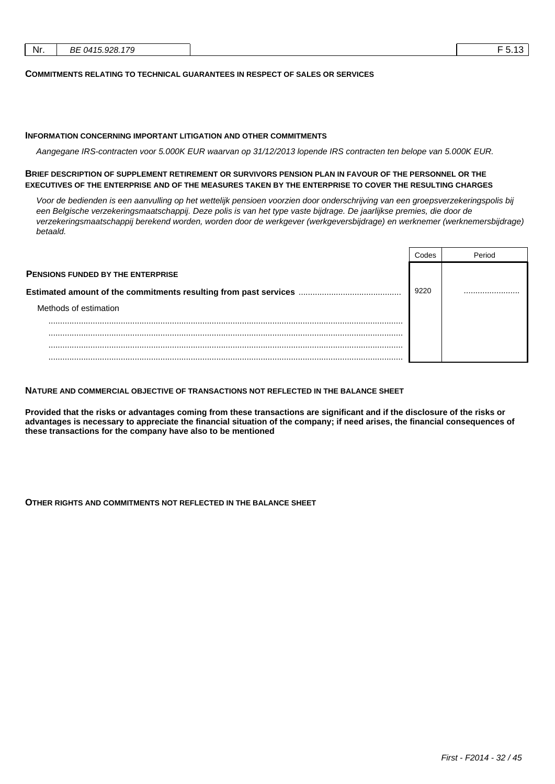| Nr. | BE 0415.928.179 | ن ا رب |
|-----|-----------------|--------|
|     |                 |        |

#### **COMMITMENTS RELATING TO TECHNICAL GUARANTEES IN RESPECT OF SALES OR SERVICES**

#### **INFORMATION CONCERNING IMPORTANT LITIGATION AND OTHER COMMITMENTS**

Aangegane IRS-contracten voor 5.000K EUR waarvan op 31/12/2013 lopende IRS contracten ten belope van 5.000K EUR.

#### **BRIEF DESCRIPTION OF SUPPLEMENT RETIREMENT OR SURVIVORS PENSION PLAN IN FAVOUR OF THE PERSONNEL OR THE EXECUTIVES OF THE ENTERPRISE AND OF THE MEASURES TAKEN BY THE ENTERPRISE TO COVER THE RESULTING CHARGES**

Voor de bedienden is een aanvulling op het wettelijk pensioen voorzien door onderschrijving van een groepsverzekeringspolis bij een Belgische verzekeringsmaatschappij. Deze polis is van het type vaste bijdrage. De jaarlijkse premies, die door de verzekeringsmaatschappij berekend worden, worden door de werkgever (werkgeversbijdrage) en werknemer (werknemersbijdrage) betaald.

|                                          | Codes |  |
|------------------------------------------|-------|--|
| <b>PENSIONS FUNDED BY THE ENTERPRISE</b> |       |  |
|                                          | 9220  |  |
| Methods of estimation                    |       |  |
| .                                        |       |  |
|                                          |       |  |
|                                          |       |  |
|                                          |       |  |

#### **NATURE AND COMMERCIAL OBJECTIVE OF TRANSACTIONS NOT REFLECTED IN THE BALANCE SHEET**

**Provided that the risks or advantages coming from these transactions are significant and if the disclosure of the risks or advantages is necessary to appreciate the financial situation of the company; if need arises, the financial consequences of these transactions for the company have also to be mentioned**

**OTHER RIGHTS AND COMMITMENTS NOT REFLECTED IN THE BALANCE SHEET**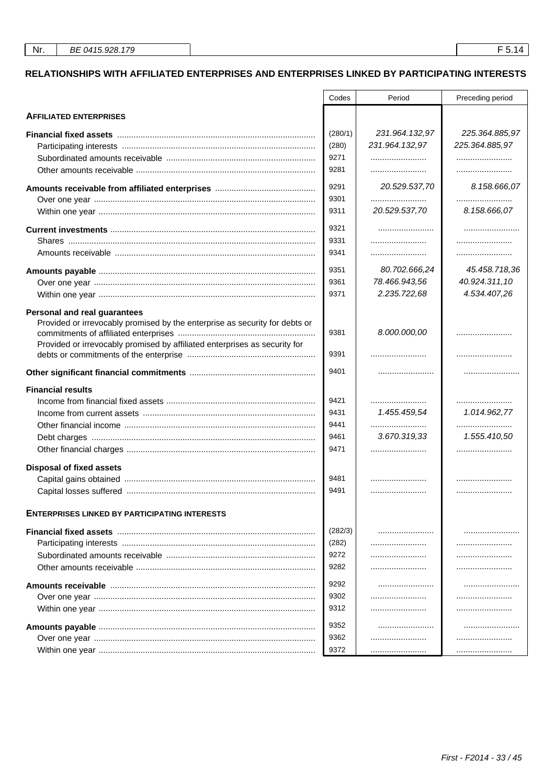# RELATIONSHIPS WITH AFFILIATED ENTERPRISES AND ENTERPRISES LINKED BY PARTICIPATING INTERESTS

|                                                                             | Codes   | Period         | Preceding period |
|-----------------------------------------------------------------------------|---------|----------------|------------------|
| <b>AFFILIATED ENTERPRISES</b>                                               |         |                |                  |
|                                                                             | (280/1) | 231.964.132,97 | 225.364.885,97   |
|                                                                             | (280)   | 231.964.132,97 | 225.364.885,97   |
|                                                                             | 9271    |                |                  |
|                                                                             | 9281    |                |                  |
|                                                                             | 9291    | 20.529.537,70  | 8.158.666,07     |
|                                                                             | 9301    |                |                  |
|                                                                             | 9311    | 20.529.537,70  | 8.158.666,07     |
|                                                                             | 9321    |                |                  |
|                                                                             | 9331    |                |                  |
|                                                                             | 9341    |                |                  |
|                                                                             | 9351    | 80.702.666,24  | 45.458.718,36    |
|                                                                             | 9361    | 78.466.943,56  | 40.924.311,10    |
|                                                                             | 9371    | 2.235.722,68   | 4.534.407,26     |
| Personal and real guarantees                                                |         |                |                  |
| Provided or irrevocably promised by the enterprise as security for debts or |         |                |                  |
|                                                                             | 9381    | 8.000.000,00   |                  |
| Provided or irrevocably promised by affiliated enterprises as security for  |         |                |                  |
|                                                                             | 9391    |                |                  |
|                                                                             | 9401    |                |                  |
| <b>Financial results</b>                                                    |         |                |                  |
|                                                                             | 9421    |                |                  |
|                                                                             | 9431    | 1.455.459,54   | 1.014.962,77     |
|                                                                             | 9441    |                |                  |
|                                                                             | 9461    | 3.670.319,33   | 1.555.410,50     |
|                                                                             | 9471    |                |                  |
| <b>Disposal of fixed assets</b>                                             |         |                |                  |
|                                                                             | 9481    |                |                  |
|                                                                             | 9491    |                |                  |
|                                                                             |         |                |                  |
| <b>ENTERPRISES LINKED BY PARTICIPATING INTERESTS</b>                        |         |                |                  |
|                                                                             | (282/3) |                |                  |
|                                                                             | (282)   |                |                  |
|                                                                             | 9272    |                |                  |
|                                                                             | 9282    |                |                  |
|                                                                             | 9292    |                |                  |
|                                                                             | 9302    |                |                  |
|                                                                             | 9312    |                |                  |
|                                                                             | 9352    |                |                  |
|                                                                             | 9362    |                | .                |
|                                                                             | 9372    |                |                  |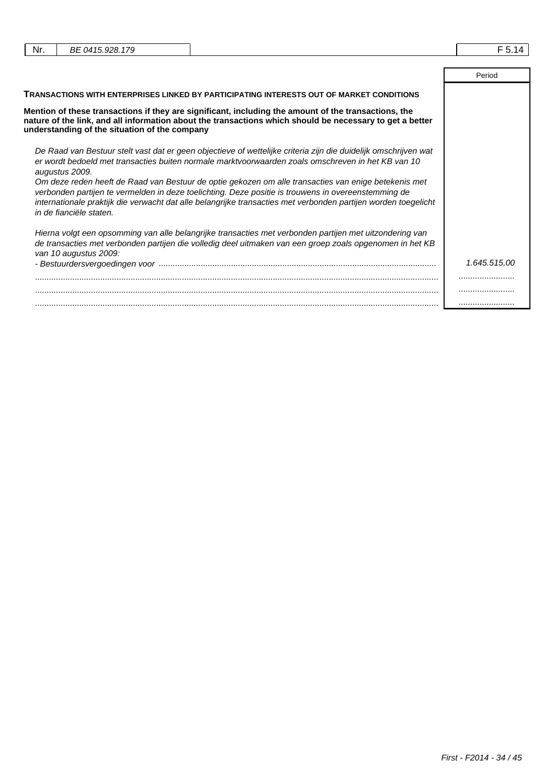| Nr. | BE 0415.928.179                                                                                                                                                                                                                                                                                                                                          | F 5.14       |
|-----|----------------------------------------------------------------------------------------------------------------------------------------------------------------------------------------------------------------------------------------------------------------------------------------------------------------------------------------------------------|--------------|
|     |                                                                                                                                                                                                                                                                                                                                                          | Period       |
|     | TRANSACTIONS WITH ENTERPRISES LINKED BY PARTICIPATING INTERESTS OUT OF MARKET CONDITIONS                                                                                                                                                                                                                                                                 |              |
|     | Mention of these transactions if they are significant, including the amount of the transactions, the<br>nature of the link, and all information about the transactions which should be necessary to get a better<br>understanding of the situation of the company                                                                                        |              |
|     | De Raad van Bestuur stelt vast dat er geen objectieve of wettelijke criteria zijn die duidelijk omschrijven wat<br>er wordt bedoeld met transacties buiten normale marktyoorwaarden zoals omschreven in het KB van 10<br>augustus 2009.                                                                                                                  |              |
|     | Om deze reden heeft de Raad van Bestuur de optie gekozen om alle transacties van enige betekenis met<br>verbonden partijen te vermelden in deze toelichting. Deze positie is trouwens in overeenstemming de<br>internationale praktijk die verwacht dat alle belangrijke transacties met verbonden partijen worden toegelicht<br>in de fianciële staten. |              |
|     | Hierna volgt een opsomming van alle belangrijke transacties met verbonden partijen met uitzondering van<br>de transacties met verbonden partijen die volledig deel uitmaken van een groep zoals opgenomen in het KB<br>van 10 augustus 2009:                                                                                                             |              |
|     |                                                                                                                                                                                                                                                                                                                                                          | 1.645.515.00 |
|     |                                                                                                                                                                                                                                                                                                                                                          |              |
|     |                                                                                                                                                                                                                                                                                                                                                          |              |
|     |                                                                                                                                                                                                                                                                                                                                                          |              |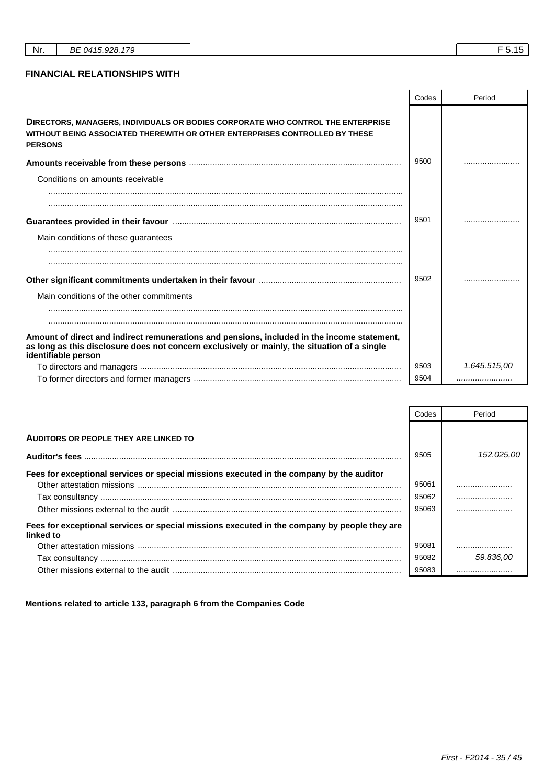|  | Nr. | DL<br>74<br>DI<br>_ |  |  |
|--|-----|---------------------|--|--|
|--|-----|---------------------|--|--|

### **FINANCIAL RELATIONSHIPS WITH**

|                                                                                                                                                                                                                    | Codes | Period       |
|--------------------------------------------------------------------------------------------------------------------------------------------------------------------------------------------------------------------|-------|--------------|
| DIRECTORS, MANAGERS, INDIVIDUALS OR BODIES CORPORATE WHO CONTROL THE ENTERPRISE<br>WITHOUT BEING ASSOCIATED THEREWITH OR OTHER ENTERPRISES CONTROLLED BY THESE<br><b>PERSONS</b>                                   |       |              |
|                                                                                                                                                                                                                    | 9500  |              |
| Conditions on amounts receivable                                                                                                                                                                                   |       |              |
|                                                                                                                                                                                                                    |       |              |
|                                                                                                                                                                                                                    | 9501  |              |
| Main conditions of these guarantees                                                                                                                                                                                |       |              |
|                                                                                                                                                                                                                    | 9502  |              |
| Main conditions of the other commitments                                                                                                                                                                           |       |              |
| Amount of direct and indirect remunerations and pensions, included in the income statement,<br>as long as this disclosure does not concern exclusively or mainly, the situation of a single<br>identifiable person |       |              |
|                                                                                                                                                                                                                    | 9503  | 1.645.515,00 |
|                                                                                                                                                                                                                    | 9504  |              |

|                                                                                                           | Codes | Period     |
|-----------------------------------------------------------------------------------------------------------|-------|------------|
| <b>AUDITORS OR PEOPLE THEY ARE LINKED TO</b>                                                              |       |            |
|                                                                                                           | 9505  | 152.025.00 |
| Fees for exceptional services or special missions executed in the company by the auditor                  | 95061 |            |
|                                                                                                           | 95062 |            |
|                                                                                                           | 95063 |            |
| Fees for exceptional services or special missions executed in the company by people they are<br>linked to |       |            |
|                                                                                                           | 95081 |            |
|                                                                                                           | 95082 | 59.836.00  |
|                                                                                                           | 95083 |            |

**Mentions related to article 133, paragraph 6 from the Companies Code**

 $\overline{\phantom{a}}$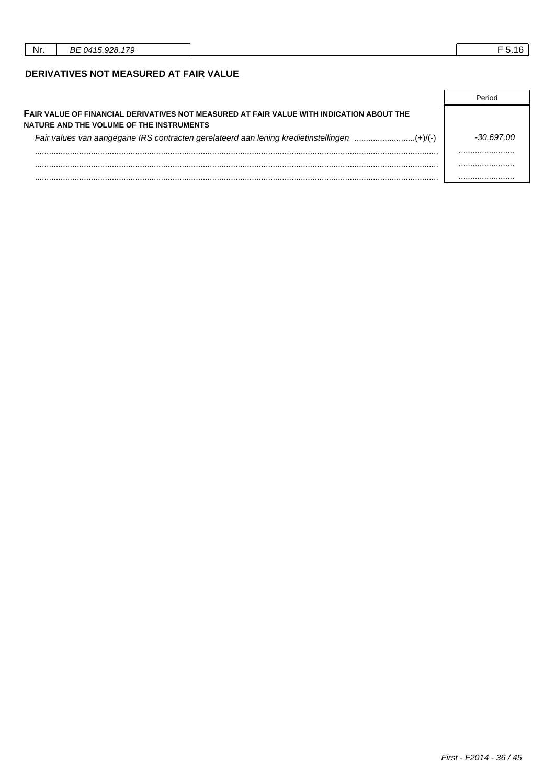## DERIVATIVES NOT MEASURED AT FAIR VALUE

| FAIR VALUE OF FINANCIAL DERIVATIVES NOT MEASURED AT FAIR VALUE WITH INDICATION ABOUT THE<br>NATURE AND THE VOLUME OF THE INSTRUMENTS |            |
|--------------------------------------------------------------------------------------------------------------------------------------|------------|
| Fair values van aangegane IRS contracten gerelateerd aan lening kredietinstellingen (+)/(-)                                          | -30.697.00 |
|                                                                                                                                      |            |
|                                                                                                                                      | .          |
|                                                                                                                                      |            |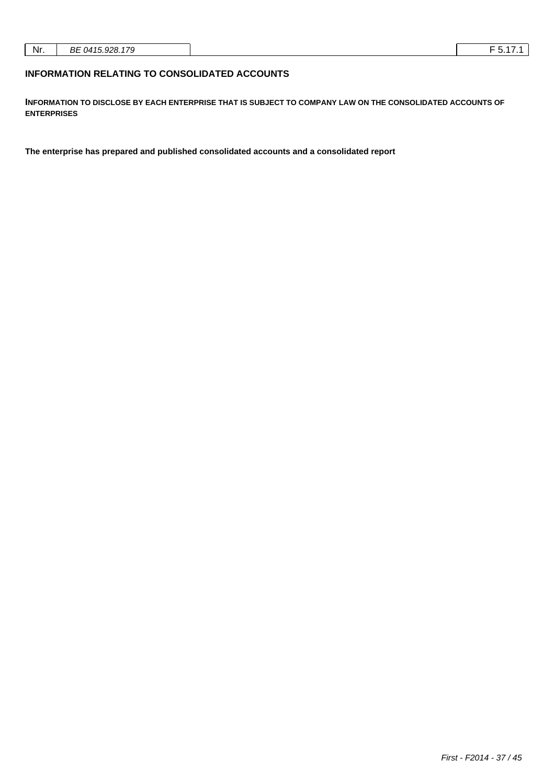| - |  |  |  |  |
|---|--|--|--|--|
|---|--|--|--|--|

### **INFORMATION RELATING TO CONSOLIDATED ACCOUNTS**

**INFORMATION TO DISCLOSE BY EACH ENTERPRISE THAT IS SUBJECT TO COMPANY LAW ON THE CONSOLIDATED ACCOUNTS OF ENTERPRISES**

**The enterprise has prepared and published consolidated accounts and a consolidated report**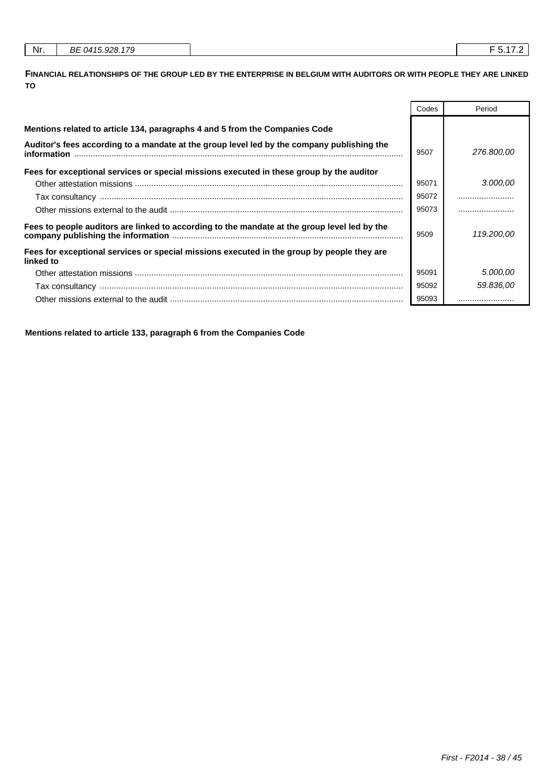| Nr.<br>.928.<br>170<br>BE 0415<br>,,, |
|---------------------------------------|
|---------------------------------------|

**FINANCIAL RELATIONSHIPS OF THE GROUP LED BY THE ENTERPRISE IN BELGIUM WITH AUDITORS OR WITH PEOPLE THEY ARE LINKED TO**

|                                                                                                           | Codes | Period     |
|-----------------------------------------------------------------------------------------------------------|-------|------------|
| Mentions related to article 134, paragraphs 4 and 5 from the Companies Code                               |       |            |
| Auditor's fees according to a mandate at the group level led by the company publishing the<br>information | 9507  | 276.800,00 |
| Fees for exceptional services or special missions executed in these group by the auditor                  |       |            |
|                                                                                                           | 95071 | 3.000,00   |
|                                                                                                           | 95072 |            |
|                                                                                                           | 95073 |            |
| Fees to people auditors are linked to according to the mandate at the group level led by the              | 9509  | 119,200,00 |
| Fees for exceptional services or special missions executed in the group by people they are<br>linked to   |       |            |
|                                                                                                           | 95091 | 5.000.00   |
|                                                                                                           | 95092 | 59.836,00  |
|                                                                                                           | 95093 |            |

**Mentions related to article 133, paragraph 6 from the Companies Code**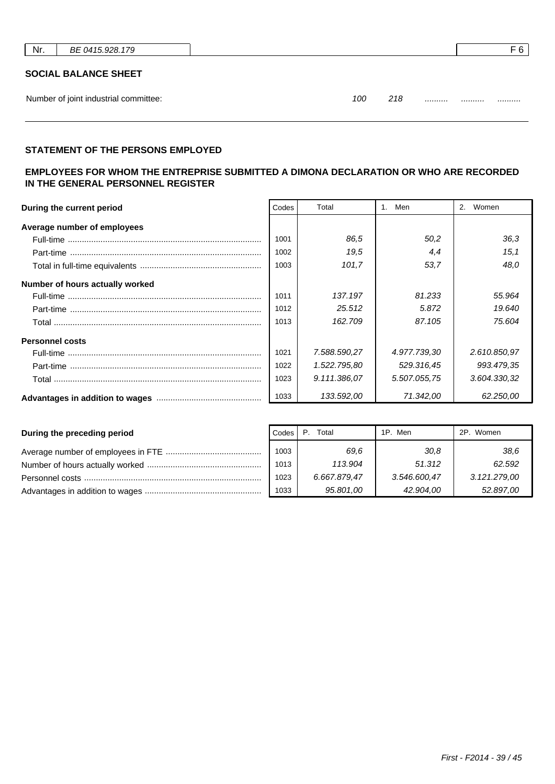| Nr. | BE 0415.928.179                       |                | F <sub>6</sub> |
|-----|---------------------------------------|----------------|----------------|
|     | <b>SOCIAL BALANCE SHEET</b>           |                |                |
|     | Number of joint industrial committee: | 100<br>218<br> | <br>           |

| ΩC |    |      |  |
|----|----|------|--|
|    | __ | <br> |  |

# **STATEMENT OF THE PERSONS EMPLOYED**

# **EMPLOYEES FOR WHOM THE ENTREPRISE SUBMITTED A DIMONA DECLARATION OR WHO ARE RECORDED IN THE GENERAL PERSONNEL REGISTER**

| During the current period       | Codes | Total        | Men<br>1.    | Women<br>2.  |
|---------------------------------|-------|--------------|--------------|--------------|
| Average number of employees     |       |              |              |              |
|                                 | 1001  | 86.5         | 50.2         | 36,3         |
|                                 | 1002  | 19.5         | 4,4          | 15,1         |
|                                 | 1003  | 101.7        | 53.7         | 48.0         |
| Number of hours actually worked |       |              |              |              |
|                                 | 1011  | 137.197      | 81.233       | 55,964       |
|                                 | 1012  | 25.512       | 5.872        | 19.640       |
|                                 | 1013  | 162.709      | 87.105       | 75.604       |
| <b>Personnel costs</b>          |       |              |              |              |
|                                 | 1021  | 7.588.590,27 | 4.977.739,30 | 2.610.850,97 |
|                                 | 1022  | 1.522.795,80 | 529.316,45   | 993.479.35   |
|                                 | 1023  | 9.111.386,07 | 5.507.055,75 | 3.604.330,32 |
|                                 | 1033  | 133.592,00   | 71.342,00    | 62.250,00    |

| During the preceding period | Codes | Total        | 1P. Men      | 2P. Women    |
|-----------------------------|-------|--------------|--------------|--------------|
|                             | 1003  | 69.6         | 30,8         | 38.6         |
|                             | 1013  | 113.904      | 51.312       | 62.592       |
|                             | 1023  | 6.667.879,47 | 3.546.600.47 | 3.121.279,00 |
|                             | 1033  | 95.801,00    | 42.904.00    | 52.897,00    |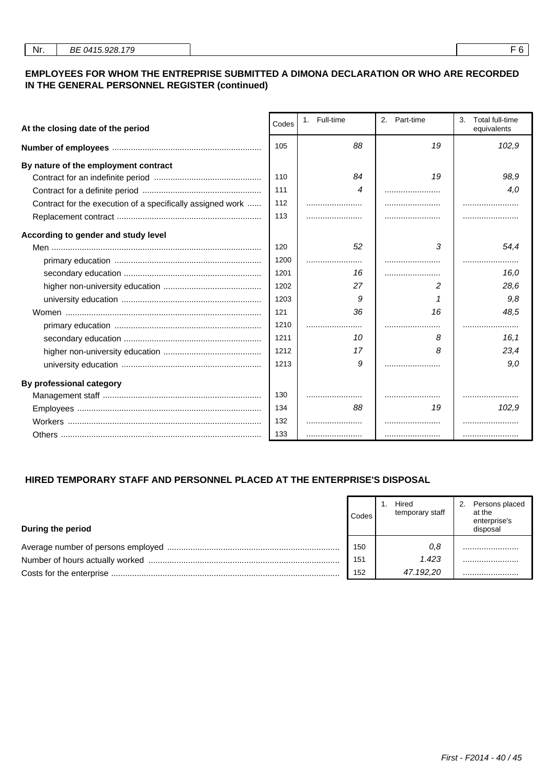### **EMPLOYEES FOR WHOM THE ENTREPRISE SUBMITTED A DIMONA DECLARATION OR WHO ARE RECORDED IN THE GENERAL PERSONNEL REGISTER (continued)**

| At the closing date of the period                          | Codes | 1. Full-time | 2. Part-time | 3.<br>Total full-time<br>equivalents |
|------------------------------------------------------------|-------|--------------|--------------|--------------------------------------|
|                                                            | 105   | 88           | 19           | 102,9                                |
| By nature of the employment contract                       |       |              |              |                                      |
|                                                            | 110   | 84           | 19           | 98.9                                 |
|                                                            | 111   | 4            |              | 4,0                                  |
| Contract for the execution of a specifically assigned work | 112   |              |              |                                      |
|                                                            | 113   |              |              |                                      |
| According to gender and study level                        |       |              |              |                                      |
|                                                            | 120   | 52           | 3            | 54.4                                 |
|                                                            | 1200  |              |              |                                      |
|                                                            | 1201  | 16           |              | 16,0                                 |
|                                                            | 1202  | 27           | 2            | 28,6                                 |
|                                                            | 1203  | 9            |              | 9.8                                  |
|                                                            | 121   | 36           | 16           | 48,5                                 |
|                                                            | 1210  |              |              | .                                    |
|                                                            | 1211  | 10           | 8            | 16.1                                 |
|                                                            | 1212  | 17           | 8            | 23.4                                 |
|                                                            | 1213  | 9            |              | 9.0                                  |
| By professional category                                   |       |              |              |                                      |
|                                                            | 130   |              |              |                                      |
|                                                            | 134   | 88           | 19           | 102,9                                |
|                                                            | 132   |              |              |                                      |
|                                                            | 133   |              |              |                                      |

### **HIRED TEMPORARY STAFF AND PERSONNEL PLACED AT THE ENTERPRISE'S DISPOSAL**

| During the period | Codes | Hired<br>temporary staff | Persons placed<br>2.<br>at the<br>enterprise's<br>disposal |
|-------------------|-------|--------------------------|------------------------------------------------------------|
|                   | 150   | 0,8                      |                                                            |
|                   | 151   | 1.423                    |                                                            |
|                   | 152   | 47.192,20                |                                                            |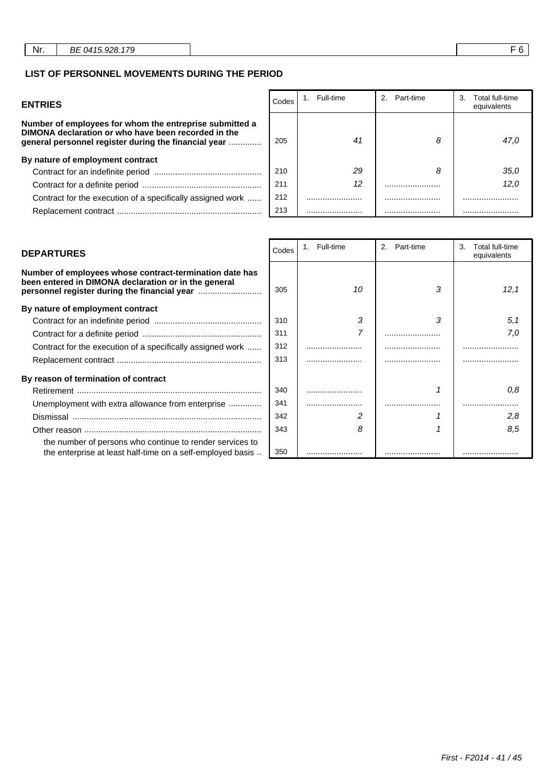### **LIST OF PERSONNEL MOVEMENTS DURING THE PERIOD**

| <b>ENTRIES</b>                                                                                                                                                         | Codes | Full-time | Part-time | 3.<br>Total full-time<br>equivalents |
|------------------------------------------------------------------------------------------------------------------------------------------------------------------------|-------|-----------|-----------|--------------------------------------|
| Number of employees for whom the entreprise submitted a<br>DIMONA declaration or who have been recorded in the<br>general personnel register during the financial year | 205   | 41        | 8         | 47.0                                 |
| By nature of employment contract                                                                                                                                       |       |           |           |                                      |
|                                                                                                                                                                        | 210   | 29        | 8         | 35.0                                 |
|                                                                                                                                                                        | 211   | 12        |           | 12.0                                 |
| Contract for the execution of a specifically assigned work                                                                                                             | 212   |           |           |                                      |
|                                                                                                                                                                        | 213   |           |           |                                      |

| Number of employees whose contract-termination date has<br>been entered in DIMONA declaration or in the general        | 305 | 10 | 3 | 12.1 |
|------------------------------------------------------------------------------------------------------------------------|-----|----|---|------|
| By nature of employment contract                                                                                       |     |    |   |      |
|                                                                                                                        | 310 | 3  | 3 | 5,1  |
|                                                                                                                        | 311 |    |   | 7.0  |
| Contract for the execution of a specifically assigned work                                                             | 312 |    |   |      |
|                                                                                                                        | 313 |    |   |      |
| By reason of termination of contract                                                                                   |     |    |   |      |
|                                                                                                                        | 340 |    |   | 0.8  |
| Unemployment with extra allowance from enterprise                                                                      | 341 |    |   |      |
|                                                                                                                        | 342 |    |   | 2.8  |
|                                                                                                                        | 343 | 8  |   | 8.5  |
| the number of persons who continue to render services to<br>the enterprise at least half-time on a self-employed basis | 350 |    |   |      |

| <b>DEPARTURES</b>                                                                                                                                               | Codes | 1. Full-time | 2.<br>Part-time | 3.<br>Total full-time<br>equivalents |
|-----------------------------------------------------------------------------------------------------------------------------------------------------------------|-------|--------------|-----------------|--------------------------------------|
| Number of employees whose contract-termination date has<br>been entered in DIMONA declaration or in the general<br>personnel register during the financial year | 305   | 10           | 3               | 12.1                                 |
| By nature of employment contract                                                                                                                                |       |              |                 |                                      |
|                                                                                                                                                                 | 310   | 3            | 3               | 5,1                                  |
|                                                                                                                                                                 | 311   | 7            |                 | 7.0                                  |
| Contract for the execution of a specifically assigned work                                                                                                      | 312   |              |                 |                                      |
|                                                                                                                                                                 | 313   |              |                 |                                      |
| By reason of termination of contract                                                                                                                            |       |              |                 |                                      |
|                                                                                                                                                                 | 340   |              |                 | 0.8                                  |
| Unemployment with extra allowance from enterprise                                                                                                               | 341   |              |                 |                                      |
|                                                                                                                                                                 | 342   | 2            |                 | 2.8                                  |
|                                                                                                                                                                 | 343   | 8            |                 | 8.5                                  |
| the number of persons who continue to render services to                                                                                                        |       |              |                 |                                      |
| the enterprise at least half-time on a self-employed basis                                                                                                      | 350   |              |                 |                                      |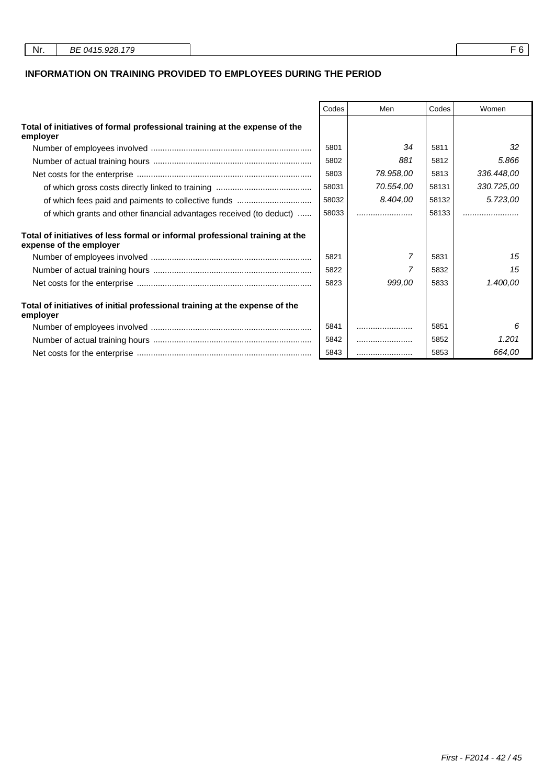| Nr. | BE 0415.928.179 |  |
|-----|-----------------|--|
|     |                 |  |

### **INFORMATION ON TRAINING PROVIDED TO EMPLOYEES DURING THE PERIOD**

|                                                                                                         | Codes | Men       | Codes | Women      |
|---------------------------------------------------------------------------------------------------------|-------|-----------|-------|------------|
| Total of initiatives of formal professional training at the expense of the<br>employer                  |       |           |       |            |
|                                                                                                         | 5801  | 34        | 5811  | 32         |
|                                                                                                         | 5802  | 881       | 5812  | 5.866      |
|                                                                                                         | 5803  | 78.958,00 | 5813  | 336.448,00 |
|                                                                                                         | 58031 | 70.554,00 | 58131 | 330.725,00 |
|                                                                                                         | 58032 | 8.404,00  | 58132 | 5.723,00   |
| of which grants and other financial advantages received (to deduct)                                     | 58033 |           | 58133 |            |
| Total of initiatives of less formal or informal professional training at the<br>expense of the employer |       |           |       |            |
|                                                                                                         | 5821  | 7         | 5831  | 15         |
|                                                                                                         | 5822  |           | 5832  | 15         |
|                                                                                                         | 5823  | 999.00    | 5833  | 1.400,00   |
| Total of initiatives of initial professional training at the expense of the<br>employer                 |       |           |       |            |
|                                                                                                         | 5841  |           | 5851  | 6          |
|                                                                                                         | 5842  |           | 5852  | 1.201      |
|                                                                                                         | 5843  |           | 5853  | 664,00     |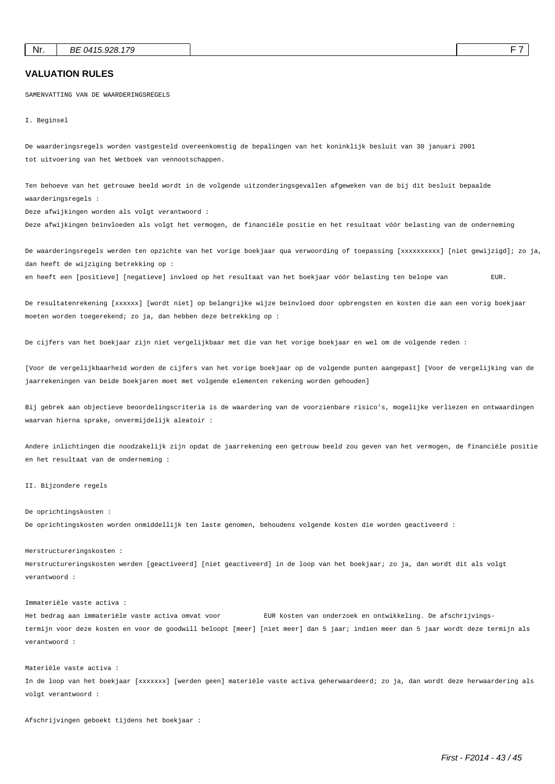#### **VALUATION RULES**

SAMENVATTING VAN DE WAARDERINGSREGELS

I. Beginsel

De waarderingsregels worden vastgesteld overeenkomstig de bepalingen van het koninklijk besluit van 30 januari 2001 tot uitvoering van het Wetboek van vennootschappen.

Ten behoeve van het getrouwe beeld wordt in de volgende uitzonderingsgevallen afgeweken van de bij dit besluit bepaalde waarderingsregels :

Deze afwijkingen worden als volgt verantwoord :

Deze afwijkingen beïnvloeden als volgt het vermogen, de financiële positie en het resultaat vóór belasting van de onderneming

De waarderingsregels werden ten opzichte van het vorige boekjaar qua verwoording of toepassing [xxxxxxxxxxx] [niet gewijzigd]; zo ja, dan heeft de wijziging betrekking op :

en heeft een [positieve] [negatieve] invloed op het resultaat van het boekjaar vóór belasting ten belope van EUR.

De resultatenrekening [xxxxxx] [wordt niet] op belangrijke wijze beïnvloed door opbrengsten en kosten die aan een vorig boekjaar moeten worden toegerekend; zo ja, dan hebben deze betrekking op :

De cijfers van het boekjaar zijn niet vergelijkbaar met die van het vorige boekjaar en wel om de volgende reden :

[Voor de vergelijkbaarheid worden de cijfers van het vorige boekjaar op de volgende punten aangepast] [Voor de vergelijking van de jaarrekeningen van beide boekjaren moet met volgende elementen rekening worden gehouden]

Bij gebrek aan objectieve beoordelingscriteria is de waardering van de voorzienbare risico's, mogelijke verliezen en ontwaardingen waarvan hierna sprake, onvermijdelijk aleatoir :

Andere inlichtingen die noodzakelijk zijn opdat de jaarrekening een getrouw beeld zou geven van het vermogen, de financiële positie en het resultaat van de onderneming :

#### II. Bijzondere regels

#### De oprichtingskosten :

De oprichtingskosten worden onmiddellijk ten laste genomen, behoudens volgende kosten die worden geactiveerd :

#### Herstructureringskosten :

Herstructureringskosten werden [geactiveerd] [niet geactiveerd] in de loop van het boekjaar; zo ja, dan wordt dit als volgt verantwoord :

#### Immateriële vaste activa :

Het bedrag aan immateriële vaste activa omvat voor EUR kosten van onderzoek en ontwikkeling. De afschrijvingstermijn voor deze kosten en voor de goodwill beloopt [meer] [niet meer] dan 5 jaar; indien meer dan 5 jaar wordt deze termijn als verantwoord :

#### Materiële vaste activa :

In de loop van het boekjaar [xxxxxxx] [werden geen] materiële vaste activa geherwaardeerd; zo ja, dan wordt deze herwaardering als volgt verantwoord :

Afschrijvingen geboekt tijdens het boekjaar :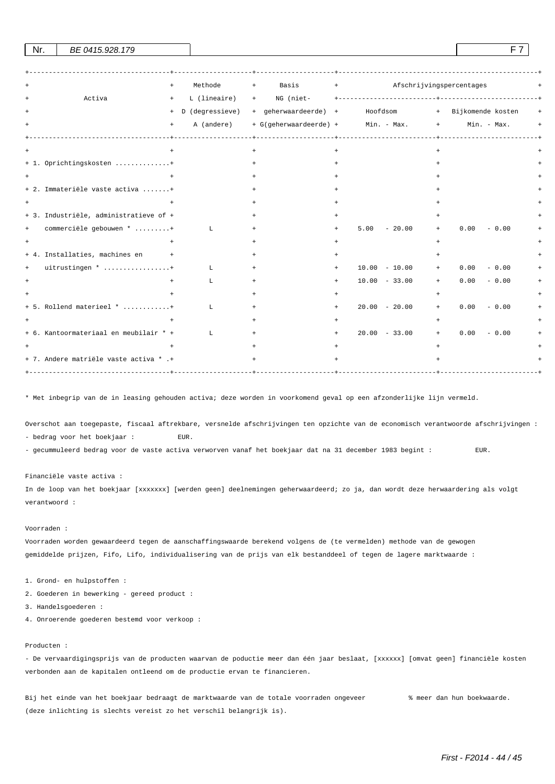| $+$                                    | Methode                                 | Basis<br>$+$ | Afschrijvingspercentages<br>the contract of the contract of       |                        |
|----------------------------------------|-----------------------------------------|--------------|-------------------------------------------------------------------|------------------------|
| Activa<br>$+$                          | L (lineaire)                            | $+$          |                                                                   |                        |
| $+$                                    |                                         |              | D (degressieve) + geherwaardeerde) + Hoofdsom + Bijkomende kosten |                        |
| $+$                                    | A (andere)<br>------------------------- |              | + G(geherwaardeerde) + Min. - Max. +                              | Min. - Max.            |
|                                        |                                         | $+$          |                                                                   |                        |
| + 1. Oprichtingskosten +               |                                         |              |                                                                   |                        |
|                                        |                                         |              |                                                                   |                        |
| + 2. Immateriële vaste activa +        |                                         |              |                                                                   |                        |
|                                        |                                         |              |                                                                   |                        |
| + 3. Industriële, administratieve of + |                                         |              |                                                                   |                        |
| commerciële gebouwen * +<br>$+$        | $\mathbf{L}$                            | $\ddot{}$    | $-20.00$<br>5.00<br>$+$                                           | 0.00<br>$-0.00$<br>$+$ |
|                                        |                                         |              |                                                                   |                        |
| + 4. Installaties, machines en<br>$+$  |                                         |              |                                                                   |                        |
| uitrustingen * +<br>$+$                | L                                       |              | $10.00 - 10.00$                                                   | 0.00<br>$-0.00$<br>$+$ |
|                                        | L                                       | $+$          | $10.00 - 33.00$<br>$+$                                            | 0.00<br>$-0.00$<br>$+$ |
|                                        |                                         |              |                                                                   |                        |
| + 5. Rollend materieel * +             | L                                       | $+$          | $20.00 - 20.00$<br>$+$                                            | 0.00<br>$-0.00$<br>$+$ |
|                                        |                                         |              |                                                                   |                        |
| + 6. Kantoormateriaal en meubilair * + | L                                       | $+$          | $20.00 - 33.00$<br>$+$                                            | 0.00<br>$-0.00$<br>$+$ |
|                                        |                                         |              |                                                                   |                        |
| + 7. Andere matriële vaste activa * .+ | ------------------+-                    | $+$          |                                                                   |                        |

 $\text{Nr.}$  BE 0415.928.179 F 7

\* Met inbegrip van de in leasing gehouden activa; deze worden in voorkomend geval op een afzonderlijke lijn vermeld.

Overschot aan toegepaste, fiscaal aftrekbare, versnelde afschrijvingen ten opzichte van de economisch verantwoorde afschrijvingen : - bedrag voor het boekjaar : EUR.

- gecummuleerd bedrag voor de vaste activa verworven vanaf het boekjaar dat na 31 december 1983 begint : EUR.

Financiële vaste activa :

In de loop van het boekjaar [xxxxxxx] [werden geen] deelnemingen geherwaardeerd; zo ja, dan wordt deze herwaardering als volgt verantwoord :

#### Voorraden :

Voorraden worden gewaardeerd tegen de aanschaffingswaarde berekend volgens de (te vermelden) methode van de gewogen gemiddelde prijzen, Fifo, Lifo, individualisering van de prijs van elk bestanddeel of tegen de lagere marktwaarde :

1. Grond- en hulpstoffen :

- 2. Goederen in bewerking gereed product :
- 3. Handelsgoederen :
- 4. Onroerende goederen bestemd voor verkoop :

#### Producten :

- De vervaardigingsprijs van de producten waarvan de poductie meer dan één jaar beslaat, [xxxxxx] [omvat geen] financiële kosten verbonden aan de kapitalen ontleend om de productie ervan te financieren.

Bij het einde van het boekjaar bedraagt de marktwaarde van de totale voorraden ongeveer % meer dan hun boekwaarde. (deze inlichting is slechts vereist zo het verschil belangrijk is).

First - F2014 - 44 / 45